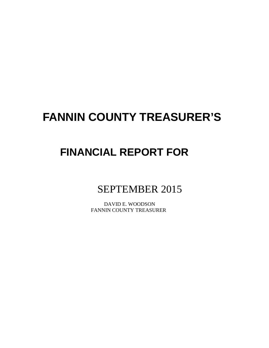# **FANNIN COUNTY TREASURER'S**

## **FINANCIAL REPORT FOR**

## SEPTEMBER 2015

 DAVID E. WOODSON FANNIN COUNTY TREASURER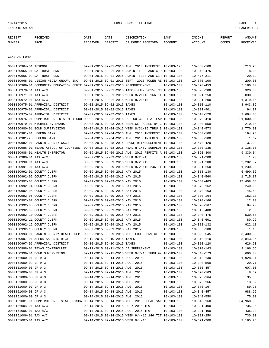## 10/14/2015 FUND DEPOSIT LISTING PAGE 1

| RECEIPT | <b>RECEIVED</b> | DATE            | DATE    | DESCRIPTION       | <b>BANK</b> | <b>TNCOME</b> | REPORT | AMOUNT          |
|---------|-----------------|-----------------|---------|-------------------|-------------|---------------|--------|-----------------|
| NUMBER  | FROM            | <b>RECEIVED</b> | DEPOSIT | OF MONEY RECEIVED | ACCOUNT     | ACCOUNT       | CODES  | <b>RECEIVED</b> |
|         |                 |                 |         |                   |             |               |        |                 |

GENERAL FUND

|                             | =====================================                                                        |                                 |                                                      |                                |                                      |                 |
|-----------------------------|----------------------------------------------------------------------------------------------|---------------------------------|------------------------------------------------------|--------------------------------|--------------------------------------|-----------------|
| 0000150964-01 TEXPOOL       |                                                                                              |                                 | 09-01-2015 09-01-2015 AUG. 2015 INTEREST 10-103-175  |                                | $10 - 360 - 100$                     | 213.98          |
|                             | 0000150965-01 DA TRUST FUND                                                                  |                                 | 09-01-2015 09-01-2015 ADMIN. FEES AND CER 10-103-100 |                                | $10 - 340 - 475$                     | 8.00            |
| 0000150965-02 DA TRUST FUND |                                                                                              |                                 | 09-01-2015 09-01-2015 ADMIN. FEES AND CER 10-103-100 |                                | $10 - 475 - 311$                     | 20.19           |
|                             | 0000150968-01 VISION MEDIA GROUP, INC.                                                       |                                 | 09-01-2015 09-01-2015 SEPT. 2015 TOWER RE 10-103-100 |                                | $10 - 370 - 100$                     | 200.00          |
|                             | 0000150969-01 COMMUNITY EDUCATION CENTE 09-01-2015 09-01-2015 REIMBURSEMENT                  |                                 |                                                      | 10-103-100                     | $10 - 370 - 453$                     | 7,180.00        |
| 0000150970-01 TAX A/C       |                                                                                              |                                 | 09-01-2015 09-01-2015 TABC- JULY 2015- CO 10-103-100 |                                | $10 - 320 - 200$                     | 320.00          |
| 0000150971-01 TAX A/C       |                                                                                              |                                 | 09-01-2015 09-01-2015 WEEK 8/21/15 166 TI 10-103-100 |                                | $10 - 321 - 250$                     | 830.00          |
| 0000150972-01 TAX A/C       |                                                                                              |                                 | 09-01-2015 09-01-2015 WEEK 8/21/15                   | 10-103-100                     | $10 - 321 - 200$                     | 1,379.65        |
|                             | 0000150975-01 APPRAISAL DISTRICT                                                             | 09-02-2015 09-02-2015 TAXES     |                                                      | $10 - 103 - 100$               | $10 - 310 - 110$                     | 8,943.86        |
|                             | 0000150975-02 APPRAISAL DISTRICT                                                             | 09-02-2015 09-02-2015 TAXES     |                                                      | $10 - 103 - 100$               | $10 - 321 - 901$                     | 94.97           |
|                             | 0000150975-07 APPRAISAL DISTRICT                                                             | 09-02-2015 09-02-2015 TAXES     |                                                      | $10 - 103 - 100$               | $10 - 310 - 120$                     | 2,664.06        |
|                             | 0000150976-01 COMPTROLLER- DISTRICT COU 09-02-2015 09-02-2015 CCL CO COURT AT LAW 10-103-100 |                                 |                                                      |                                | $10 - 370 - 410$                     | 21,000.00       |
|                             | 0000150979-01 MICHAEL S. EVANS                                                               |                                 | 09-03-2015 09-03-2015 SERVICE PAPERS BY C 10-103-100 |                                | $10 - 340 - 550$                     | 210.00          |
|                             | 0000150980-01 BOND SUPERVISION                                                               |                                 | 09-04-2015 09-04-2015 WEEK 8/31/15 THRU 9 10-103-100 |                                | $10 - 340 - 573$                     | 1,770.00        |
| 0000150981-01 LEGEND BANK   |                                                                                              |                                 | 09-04-2015 09-04-2015 AUG. 2015 INTEREST 10-103-100  |                                | $10 - 360 - 100$                     | 194.93          |
| 0000150981-28 LEGEND BANK   |                                                                                              |                                 | 09-04-2015 09-04-2015 AUG. 2015 INTEREST 10-100-100  |                                | $10 - 360 - 100$                     | 1.67            |
|                             | 0000150982-01 FANNIN COUNTY CSCD                                                             |                                 | 09-08-2015 09-08-2015 PHONE REIMBURSEMENT 10-103-100 |                                | $10 - 570 - 420$                     | 37.93           |
|                             | 0000150986-01 TEXAS ASSOC. OF COUNTIES 09-08-2015 09-08-2015 HEALTH INS. SURPLUS 10-103-100  |                                 |                                                      |                                | $10 - 370 - 135$                     | 2,138.00        |
|                             | 0000150988-01 HEALTH INSPECTOR                                                               |                                 | 09-09-2015 09-09-2015 AUG. 2015 PERMITS A 10-103-100 |                                | $10 - 320 - 300$                     | 9,330.04        |
| 0000150989-01 TAX A/C       |                                                                                              |                                 | 09-09-2015 09-09-2015 WEEK 8/28/15                   | $10 - 103 - 100$               | $10 - 321 - 200$                     | 1.90            |
| 0000150990-01 TAX A/C       |                                                                                              |                                 | 09-09-2015 09-09-2015 WEEK 8/28/15                   | $10 - 103 - 100$               | $10 - 321 - 200$                     | 2,202.57        |
| 0000150991-01 TAX A/C       |                                                                                              |                                 | 09-09-2015 09-09-2015 WEEK 8/28/15 246 TI 10-103-100 |                                | $10 - 321 - 250$                     | 1,230.00        |
| 0000150992-01 COUNTY CLERK  |                                                                                              | 09-09-2015 09-09-2015 MAY 2015  |                                                      | $10 - 103 - 100$               | $10 - 318 - 130$                     | 5,490.36        |
| 0000150992-02 COUNTY CLERK  |                                                                                              | 09-09-2015 09-09-2015 MAY 2015  |                                                      | $10 - 103 - 100$               | 10-340-560                           | 1,715.87        |
| 0000150992-03 COUNTY CLERK  |                                                                                              | 09-09-2015 09-09-2015 MAY 2015  |                                                      | $10 - 103 - 100$               | $10 - 340 - 403$                     | 17,408.58       |
| 0000150992-04 COUNTY CLERK  |                                                                                              | 09-09-2015 09-09-2015 MAY 2015  |                                                      | $10 - 103 - 100$               | $10 - 370 - 162$                     | 240.66          |
| 0000150992-05 COUNTY CLERK  |                                                                                              | 09-09-2015 09-09-2015 MAY 2015  |                                                      | $10 - 103 - 100$               | $10 - 370 - 163$                     | 45.53           |
| 0000150992-06 COUNTY CLERK  |                                                                                              | 09-09-2015 09-09-2015 MAY 2015  |                                                      | $10 - 103 - 100$               | $10 - 370 - 164$                     | 182.13          |
| 0000150992-07 COUNTY CLERK  |                                                                                              | 09-09-2015 09-09-2015 MAY 2015  |                                                      | $10 - 103 - 100$               | $10 - 370 - 166$                     | 12.70           |
| 0000150992-08 COUNTY CLERK  |                                                                                              | 09-09-2015 09-09-2015 MAY 2015  |                                                      | $10 - 103 - 100$               | $10 - 370 - 167$                     | 84.90           |
| 0000150992-09 COUNTY CLERK  |                                                                                              | 09-09-2015 09-09-2015 MAY 2015  |                                                      | $10 - 103 - 100$               | $10 - 340 - 400$                     | 2.00            |
| 0000150992-10 COUNTY CLERK  |                                                                                              | 09-09-2015 09-09-2015 MAY 2015  |                                                      | $10 - 103 - 100$               | $10 - 340 - 475$                     | 530.60          |
| 0000150992-11 COUNTY CLERK  |                                                                                              | 09-09-2015 09-09-2015 MAY 2015  |                                                      | $10 - 103 - 100$               | $10 - 340 - 601$                     | 80.22           |
| 0000150992-12 COUNTY CLERK  |                                                                                              | 09-09-2015 09-09-2015 MAY 2015  |                                                      | $10 - 103 - 100$               | $10 - 318 - 132$                     | 922.18          |
| 0000150992-13 COUNTY CLERK  |                                                                                              | 09-09-2015 09-09-2015 MAY 2015  |                                                      | $10 - 103 - 100$               | $10 - 360 - 100$                     | 1.18            |
|                             | 0000150993-01 FANNIN COUNTY HEALTH DEPT 09-09-2015 09-09-2015 AUG. FOOD SERVICE P 10-103-100 |                                 |                                                      |                                | $10 - 320 - 545$                     | 3,400.00        |
|                             | 0000150997-01 APPRAISAL DISTRICT                                                             | 09-10-2015 09-10-2015 TAXES     |                                                      | $10 - 103 - 100$               | $10 - 310 - 110$                     | 3,843.96        |
|                             | 0000150997-06 APPRAISAL DISTRICT                                                             | 09-10-2015 09-10-2015 TAXES     |                                                      | $10 - 103 - 100$               | $10 - 310 - 120$                     | 626.90          |
|                             | 0000150998-01 TEXAS COMPTROLLER                                                              |                                 | 09-11-2015 09-11-2015 DA SUPPLEMENT                  | $10 - 103 - 100$               | $10 - 370 - 143$                     | 9,166.66        |
|                             | 0000150999-01 BOND SUPERVISION                                                               |                                 | 09-11-2015 09-11-2015 WEEK 9/7/15 THRU 9/ 10-103-100 |                                | $10 - 340 - 573$                     | 690.00          |
| 0000151000-01 JP # 3        |                                                                                              | 09-14-2015 09-14-2015 AUG. 2015 |                                                      | $10 - 103 - 100$               | $10 - 318 - 130$                     | 1,928.91        |
| 0000151000-02 JP # 3        |                                                                                              | 09-14-2015 09-14-2015 AUG. 2015 |                                                      | $10 - 103 - 100$               | $10 - 340 - 560$                     | 20.71           |
| 0000151000-03 JP # 3        |                                                                                              | 09-14-2015 09-14-2015 AUG. 2015 |                                                      | $10 - 103 - 100$               | $10 - 350 - 457$                     | 607.00          |
| 0000151000-04 JP # 3        |                                                                                              | 09-14-2015 09-14-2015 AUG. 2015 |                                                      | $10 - 103 - 100$               | $10 - 370 - 163$                     | 8.89            |
| 0000151000-05 JP # 3        |                                                                                              | 09-14-2015 09-14-2015 AUG. 2015 |                                                      | 10-103-100                     | $10 - 370 - 164$                     | 35.58           |
| 0000151000-06 JP # 3        |                                                                                              | 09-14-2015 09-14-2015 AUG. 2015 |                                                      | 10-103-100                     | $10 - 370 - 166$                     | 13.52           |
| 0000151000-07 JP # 3        |                                                                                              | 09-14-2015 09-14-2015 AUG. 2015 |                                                      | $10 - 103 - 100$               | $10 - 370 - 167$                     | 89.95           |
| 0000151000-08 JP # 3        |                                                                                              | 09-14-2015 09-14-2015 AUG. 2015 |                                                      | $10 - 103 - 100$               |                                      |                 |
| 0000151000-09 JP # 3        |                                                                                              | 09-14-2015 09-14-2015 AUG. 2015 |                                                      | $10 - 103 - 100$               | $10 - 340 - 457$<br>$10 - 340 - 550$ | 988.95<br>75.00 |
|                             | 0000151001-01 COMPTROLLER - STATE FISCA 09-14-2015 09-14-2015 AUG. 2015 LOCAL SAL 10-103-100 |                                 |                                                      |                                |                                      | 64,960.95       |
| 0000151004-01 TAX A/C       |                                                                                              |                                 | 09-14-2015 09-14-2015 JULY 2015 TPW                  |                                | $10 - 318 - 160$                     | 735.96          |
| 0000151005-01 TAX A/C       |                                                                                              |                                 | 09-14-2015 09-14-2015 AUG. 2015 TPW                  | $10 - 103 - 100$<br>10-103-100 | $10 - 321 - 400$<br>$10 - 321 - 400$ | 435.33          |
|                             |                                                                                              |                                 |                                                      |                                |                                      |                 |
| 0000151006-01 TAX A/C       |                                                                                              |                                 | 09-14-2015 09-14-2015 WEEK 9/4/15 146 TIT 10-103-100 |                                | $10 - 321 - 250$                     | 730.00          |
| 0000151007-01 TAX A/C       |                                                                                              |                                 | 09-14-2015 09-14-2015 WEEK 9/4/15                    | $10 - 103 - 100$               | $10 - 321 - 200$                     | 2,185.25        |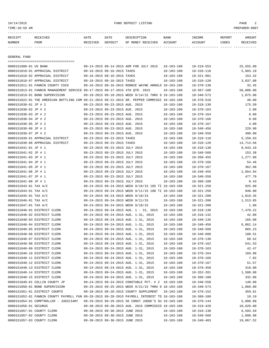10/14/2015 FUND DEPOSIT LISTING PAGE 2

| RECEIPT | <b>RECEIVED</b> | DATE     | DATE    | DESCRIPTION       | <b>BANK</b> | <b>TNCOME</b>  | REPORT | AMOUNT          |
|---------|-----------------|----------|---------|-------------------|-------------|----------------|--------|-----------------|
| NUMBER  | FROM            | RECEIVED | DEPOSIT | OF MONEY RECEIVED | ACCOUNT     | <b>ACCOUNT</b> | CODES  | <b>RECEIVED</b> |
|         |                 |          |         |                   |             |                |        |                 |

GENERAL FUND

| =====================================                                                        |                                 |                                                      |                                      |                  |                  |
|----------------------------------------------------------------------------------------------|---------------------------------|------------------------------------------------------|--------------------------------------|------------------|------------------|
| 0000151008-01 US BANK                                                                        |                                 | 09-14-2015 09-14-2015 ADM FOR JULY 2015              | $10 - 103 - 100$                     | $10 - 319 - 553$ | 25,555.00        |
| 0000151010-01 APPRAISAL DISTRICT                                                             | 09-16-2015 09-16-2015 TAXES     |                                                      | $10 - 103 - 100$                     | $10 - 310 - 110$ | 5,603.19         |
| 0000151010-02 APPRAISAL DISTRICT                                                             | 09-16-2015 09-16-2015 TAXES     |                                                      | $10 - 103 - 100$                     | $10 - 321 - 901$ | 153.32           |
| 0000151010-07 APPRAISAL DISTRICT                                                             | 09-16-2015 09-16-2015 TAXES     |                                                      | $10 - 103 - 100$                     | $10 - 310 - 120$ | 3,037.08         |
| 0000151011-01 FANNIN COUNTY CSCD                                                             |                                 | 09-16-2015 09-16-2015 RONNIE WAYNE ARNOLD 10-103-100 |                                      | $10 - 370 - 130$ | 32.45            |
| 0000151013-01 FANNIN MANAGEMENT SERVICE 09-17-2015 09-17-2015 4TH QTR. 2015                  |                                 |                                                      | $10 - 103 - 100$                     | $10 - 367 - 100$ | 50,000.00        |
| 0000151019-01 BOND SUPERVISION                                                               |                                 | 09-18-2015 09-18-2015 WEEK 9/14/15 THRU 9 10-103-100 |                                      | $10 - 340 - 573$ | 1,075.00         |
| 0000151022-01 THE AMERICAN BOTTLING COM 09-21-2015 09-21-2015 DR. PEPPER COMMISSI 10-103-100 |                                 |                                                      |                                      | $10 - 370 - 510$ | 40.00            |
| 0000151038-01 JP # 2                                                                         | 09-23-2015 09-23-2015 AUG. 2015 |                                                      | $10 - 103 - 100$                     | $10 - 318 - 130$ | 175.50           |
| 0000151038-02 JP # 2                                                                         | 09-23-2015 09-23-2015 AUG. 2015 |                                                      | $10 - 103 - 100$                     | $10 - 370 - 163$ | 2.00             |
| 0000151038-03 JP # 2                                                                         | 09-23-2015 09-23-2015 AUG. 2015 |                                                      | $10 - 103 - 100$                     | $10 - 370 - 164$ | 8.00             |
| 0000151038-04 JP # 2                                                                         | 09-23-2015 09-23-2015 AUG. 2015 |                                                      | $10 - 103 - 100$                     | $10 - 370 - 166$ | 0.60             |
| 0000151038-05 JP # 2                                                                         | 09-23-2015 09-23-2015 AUG. 2015 |                                                      | $10 - 103 - 100$                     | $10 - 370 - 167$ | 4.00             |
| 0000151038-06 JP # 2                                                                         | 09-23-2015 09-23-2015 AUG. 2015 |                                                      | $10 - 103 - 100$                     | $10 - 340 - 456$ | 229.90           |
| 0000151038-07 JP # 2                                                                         | 09-23-2015 09-23-2015 AUG. 2015 |                                                      | $10 - 103 - 100$                     | $10 - 340 - 550$ | 490.00           |
| 0000151039-01 APPRAISAL DISTRICT                                                             | 09-23-2015 09-23-2015 TAXES     |                                                      | 10-103-100                           | $10 - 310 - 110$ | 5,150.63         |
| 0000151039-06 APPRAISAL DISTRICT                                                             | 09-23-2015 09-23-2015 TAXES     |                                                      | 10-103-100                           | $10 - 310 - 120$ | 14,714.56        |
| 0000151041-01 JP # 1                                                                         | 09-23-2015 09-23-2015 JULY 2015 |                                                      | $10 - 103 - 100$                     | $10 - 318 - 130$ | 8,643.10         |
| 0000151041-02 JP # 1                                                                         | 09-23-2015 09-23-2015 JULY 2015 |                                                      | $10 - 103 - 100$                     | $10 - 340 - 560$ | 153.38           |
| 0000151041-03 JP # 1                                                                         | 09-23-2015 09-23-2015 JULY 2015 |                                                      | $10 - 103 - 100$                     | $10 - 350 - 455$ | 1,277.00         |
| 0000151041-04 JP # 1                                                                         | 09-23-2015 09-23-2015 JULY 2015 |                                                      | $10 - 103 - 100$                     | $10 - 370 - 166$ | 54.46            |
| 0000151041-05 JP # 1                                                                         | 09-23-2015 09-23-2015 JULY 2015 |                                                      | $10 - 103 - 100$                     | $10 - 370 - 167$ | 362.98           |
| 0000151041-06 JP # 1                                                                         | 09-23-2015 09-23-2015 JULY 2015 |                                                      | $10 - 103 - 100$                     | $10 - 340 - 455$ | 2,854.94         |
| 0000151041-07 JP # 1                                                                         | 09-23-2015 09-23-2015 JULY 2015 |                                                      | $10 - 103 - 100$                     | $10 - 340 - 550$ | 477.70           |
| 0000151041-08 JP # 1                                                                         | 09-23-2015 09-23-2015 JULY 2015 |                                                      | $10 - 103 - 100$                     | $10 - 360 - 100$ | 0.43             |
| 0000151043-01 TAX A/C                                                                        |                                 | 09-24-2015 09-24-2015 WEEK 9/18/15 185 TI 10-103-100 |                                      | $10 - 321 - 250$ | 925.00           |
| 0000151044-01 TAX A/C                                                                        |                                 | 09-24-2015 09-24-2015 WEEK 9/11/15 188 TI 10-103-100 |                                      | $10 - 321 - 250$ | 940.00           |
| 0000151045-01 TAX A/C                                                                        |                                 | 09-24-2015 09-24-2015 WEEK 9/18/15                   | 10-103-100                           | $10 - 321 - 200$ | 1,819.35         |
| 0000151046-01 TAX A/C                                                                        |                                 | 09-24-2015 09-24-2015 WEEK 9/11/15                   | $10 - 103 - 100$                     | $10 - 321 - 200$ | 1,513.85         |
| 0000151047-01 TAX A/C                                                                        |                                 | 09-24-2015 09-24-2015 WEEK 9/18/15                   | $10 - 103 - 100$                     | $10 - 321 - 200$ | 1.90             |
| 0000151048-01 DISTRICT CLERK                                                                 |                                 |                                                      |                                      |                  | 7,470.22         |
|                                                                                              |                                 | 09-24-2015 09-24-2015 AUG. 1 - 31, 2015              | $10 - 103 - 100$                     | $10 - 318 - 130$ | 42.00            |
| 0000151048-02 DISTRICT CLERK                                                                 |                                 | 09-24-2015 09-24-2015 AUG. 1-31, 2015                | $10 - 103 - 100$<br>$10 - 103 - 100$ | $10 - 318 - 132$ |                  |
| 0000151048-03 DISTRICT CLERK                                                                 |                                 | 09-24-2015 09-24-2015 AUG. 1-31, 2015                |                                      | $10 - 340 - 135$ | 165.00           |
| 0000151048-04 DISTRICT CLERK                                                                 |                                 | 09-24-2015 09-24-2015 AUG. 1-31, 2015                | $10 - 103 - 100$                     | $10 - 340 - 450$ | 6,062.14         |
| 0000151048-05 DISTRICT CLERK                                                                 |                                 | 09-24-2015 09-24-2015 AUG. 1-31, 2015                | $10 - 103 - 100$                     | $10 - 340 - 560$ | 865.23<br>180.51 |
| 0000151048-06 DISTRICT CLERK                                                                 |                                 | 09-24-2015 09-24-2015 AUG. 1-31, 2015                | $10 - 103 - 100$                     | $10 - 340 - 600$ |                  |
| 0000151048-07 DISTRICT CLERK                                                                 |                                 | 09-24-2015 09-24-2015 AUG. 1-31, 2015                | $10 - 103 - 100$                     | $10 - 370 - 130$ | 68.52            |
| 0000151048-08 DISTRICT CLERK                                                                 |                                 | 09-24-2015 09-24-2015 AUG. 1-31, 2015                | $10 - 103 - 100$                     | $10 - 370 - 162$ | 541.53           |
| 0000151048-09 DISTRICT CLERK                                                                 |                                 | 09-24-2015 09-24-2015 AUG. 1-31, 2015                | $10 - 103 - 100$                     | $10 - 370 - 163$ | 42.47            |
| 0000151048-10 DISTRICT CLERK                                                                 |                                 | 09-24-2015 09-24-2015 AUG. 1-31, 2015                | $10 - 103 - 100$                     | $10 - 370 - 164$ | 169.88           |
| 0000151048-11 DISTRICT CLERK                                                                 |                                 | 09-24-2015 09-24-2015 AUG. 1-31, 2015                | $10 - 103 - 100$                     | $10 - 370 - 166$ | 7.02             |
| 0000151048-12 DISTRICT CLERK                                                                 |                                 | 09-24-2015 09-24-2015 AUG. 1-31, 2015                | $10 - 103 - 100$                     | $10 - 370 - 167$ | 51.57            |
| 0000151048-13 DISTRICT CLERK                                                                 |                                 | 09-24-2015 09-24-2015 AUG. 1-31, 2015                | 10-103-100                           | $10 - 370 - 450$ | 310.00           |
| 0000151048-14 DISTRICT CLERK                                                                 |                                 | 09-24-2015 09-24-2015 AUG. 1-31, 2015                | 10-103-100                           | $10 - 352 - 201$ | 1,500.00         |
| 0000151048-15 DISTRICT CLERK                                                                 |                                 | 09-24-2015 09-24-2015 AUG. 1-31, 2015                | $10 - 103 - 100$                     | $10 - 360 - 100$ | 332.06           |
| 0000151049-01 COLLIN COUNTY JP                                                               |                                 | 09-24-2015 09-24-2015 CONSTABLE PCT. # 2 10-103-100  |                                      | $10 - 340 - 550$ | 140.00           |
| 0000151050-01 BOND SUPERVISION                                                               |                                 | 09-25-2015 09-25-2015 WEEK 9/21/15 THRU 9 10-103-100 |                                      | $10 - 340 - 573$ | 1,060.00         |
| 0000151051-01 DISTRICT COURTS                                                                |                                 | 09-28-2015 09-28-2015 COUNTY SUPPLEMENT              | $10 - 103 - 100$                     | $10 - 370 - 152$ | 359.81           |
| 0000151052-01 FANNIN COUNTY PAYROLL FUN 09-28-2015 09-28-2015 PAYROLL INTEREST TO 10-103-100 |                                 |                                                      |                                      | $10 - 360 - 100$ | 10.19            |
| 0000151054-01 COMPTROLLER - JUDICIARY                                                        |                                 | 09-29-2015 09-29-2015 5K CONST JUDGE'S SU 10-103-100 |                                      | $10 - 370 - 144$ | 5,000.00         |
| 0000151056-01 SECURUS                                                                        |                                 | 09-30-2015 09-30-2015 AUG. 2015 COMMISSIO 10-103-100 |                                      | $10 - 319 - 420$ | 10,620.00        |
| 0000151057-01 COUNTY CLERK                                                                   | 09-30-2015 09-30-2015 JUNE 2015 |                                                      | $10 - 103 - 100$                     | $10 - 318 - 130$ | 6,593.59         |
| 0000151057-02 COUNTY CLERK                                                                   | 09-30-2015 09-30-2015 JUNE 2015 |                                                      | $10 - 103 - 100$                     | $10 - 340 - 560$ | 1,890.98         |
| 0000151057-03 COUNTY CLERK                                                                   | 09-30-2015 09-30-2015 JUNE 2015 |                                                      | $10 - 103 - 100$                     | $10 - 340 - 403$ | 19,067.52        |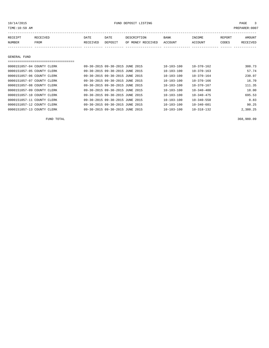| TIME:10:59 AM              |                                    |          |                                 |                   |                  |                  |        | PREPARER:0007 |
|----------------------------|------------------------------------|----------|---------------------------------|-------------------|------------------|------------------|--------|---------------|
| RECEIPT                    | RECEIVED                           | DATE     | DATE                            | DESCRIPTION       | <b>BANK</b>      | INCOME           | REPORT | AMOUNT        |
| NUMBER                     | <b>FROM</b>                        | RECEIVED | DEPOSIT                         | OF MONEY RECEIVED | <b>ACCOUNT</b>   | ACCOUNT          | CODES  | RECEIVED      |
|                            |                                    |          |                                 |                   |                  |                  |        |               |
|                            |                                    |          |                                 |                   |                  |                  |        |               |
| GENERAL FUND               |                                    |          |                                 |                   |                  |                  |        |               |
|                            | ---------------------------------- |          |                                 |                   |                  |                  |        |               |
| 0000151057-04 COUNTY CLERK |                                    |          | 09-30-2015 09-30-2015 JUNE 2015 |                   | $10 - 103 - 100$ | $10 - 370 - 162$ |        | 300.73        |
| 0000151057-05 COUNTY CLERK |                                    |          | 09-30-2015 09-30-2015 JUNE 2015 |                   | $10 - 103 - 100$ | $10 - 370 - 163$ |        | 57.74         |
| 0000151057-06 COUNTY CLERK |                                    |          | 09-30-2015 09-30-2015 JUNE 2015 |                   | $10 - 103 - 100$ | $10 - 370 - 164$ |        | 230.97        |
| 0000151057-07 COUNTY CLERK |                                    |          | 09-30-2015 09-30-2015 JUNE 2015 |                   | $10 - 103 - 100$ | 10-370-166       |        | 16.70         |
| 0000151057-08 COUNTY CLERK |                                    |          | 09-30-2015 09-30-2015 JUNE 2015 |                   | $10 - 103 - 100$ | $10 - 370 - 167$ |        | 111.35        |
|                            |                                    |          |                                 |                   | .                | .                |        | .             |

| 0000151057-09 COUNTY CLERK |  | 09-30-2015 09-30-2015 JUNE 2015 | $10 - 103 - 100$ | $10 - 340 - 400$ | 18.00    |
|----------------------------|--|---------------------------------|------------------|------------------|----------|
| 0000151057-10 COUNTY CLERK |  | 09-30-2015 09-30-2015 JUNE 2015 | $10 - 103 - 100$ | $10 - 340 - 475$ | 695.53   |
| 0000151057-11 COUNTY CLERK |  | 09-30-2015 09-30-2015 JUNE 2015 | 10-103-100       | $10 - 340 - 550$ | 0.83     |
| 0000151057-12 COUNTY CLERK |  | 09-30-2015 09-30-2015 JUNE 2015 | $10 - 103 - 100$ | 10-340-601       | 90.25    |
| 0000151057-13 COUNTY CLERK |  | 09-30-2015 09-30-2015 JUNE 2015 | $10 - 103 - 100$ | $10 - 318 - 132$ | 2,380.25 |

FUND TOTAL 368,980.09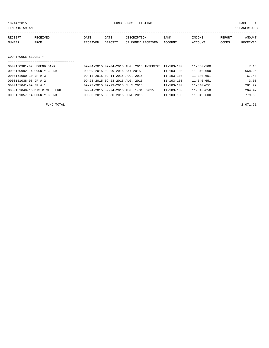PREPARER:0007

| TIME . TO . DA HM |  |  |  |
|-------------------|--|--|--|
|                   |  |  |  |

| RECEIPT | RECEIVED | DATE     | DATE    | DESCRIPTION       | <b>BANK</b> | INCOME  | REPORT | AMOUNT   |
|---------|----------|----------|---------|-------------------|-------------|---------|--------|----------|
| NUMBER  | FROM     | RECEIVED | DEPOSIT | OF MONEY RECEIVED | ACCOUNT     | ACCOUNT | CODES  | RECEIVED |
|         |          |          |         |                   |             |         |        |          |
|         |          |          |         |                   |             |         |        |          |

## COURTHOUSE SECURITY

| 0000150981-02 LEGEND BANK    | 09-04-2015 09-04-2015 AUG. 2015 INTEREST | 11-103-100       | 11-360-100       | 7.18   |
|------------------------------|------------------------------------------|------------------|------------------|--------|
| 0000150992-14 COUNTY CLERK   | 09-09-2015 09-09-2015 MAY 2015           | $11 - 103 - 100$ | $11 - 340 - 600$ | 668.96 |
| 0000151000-10 JP # 3         | 09-14-2015 09-14-2015 AUG. 2015          | $11 - 103 - 100$ | $11 - 340 - 651$ | 67.48  |
| 0000151038-08 JP # 2         | 09-23-2015 09-23-2015 AUG. 2015          | $11 - 103 - 100$ | $11 - 340 - 651$ | 3.00   |
| 0000151041-09 JP # 1         | 09-23-2015 09-23-2015 JULY 2015          | $11 - 103 - 100$ | $11 - 340 - 651$ | 281.29 |
| 0000151048-16 DISTRICT CLERK | 09-24-2015 09-24-2015 AUG. 1-31, 2015    | $11 - 103 - 100$ | $11 - 340 - 650$ | 264.47 |
| 0000151057-14 COUNTY CLERK   | 09-30-2015 09-30-2015 JUNE 2015          | $11 - 103 - 100$ | $11 - 340 - 600$ | 779.53 |

FUND TOTAL 2,071.91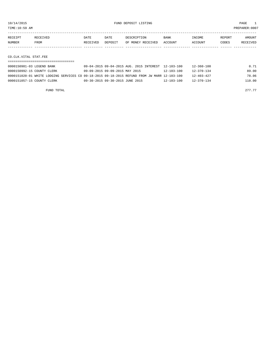TIME:10:59 AM PREPARER:0007

| RECEIPT | RECEIVED | DATE     | DATE    | DESCRIPTION       | BANK    | INCOME  | REPORT | AMOUNT   |
|---------|----------|----------|---------|-------------------|---------|---------|--------|----------|
| NUMBER  | FROM     | RECEIVED | DEPOSIT | OF MONEY RECEIVED | ACCOUNT | ACCOUNT | CODES  | RECEIVED |
|         |          |          |         |                   |         |         |        |          |
|         |          |          |         |                   |         |         |        |          |

CO.CLK.VITAL STAT.FEE

| 0000150981-03 LEGEND BANK  | 09-04-2015 09-04-2015 AUG. 2015 INTEREST 12-103-100                                          |                  | 12-360-100       | 0.71   |
|----------------------------|----------------------------------------------------------------------------------------------|------------------|------------------|--------|
| 0000150992-15 COUNTY CLERK | 09-09-2015 09-09-2015 MAY 2015                                                               | 12-103-100       | $12 - 370 - 134$ | 89.00  |
|                            | 0000151020-01 WHITE LODGING SERVICES CO 09-18-2015 09-18-2015 REFUND FROM JW MARR 12-103-100 |                  | $12 - 403 - 427$ | 78.06  |
| 0000151057-15 COUNTY CLERK | 09-30-2015 09-30-2015 JUNE 2015                                                              | $12 - 103 - 100$ | $12 - 370 - 134$ | 110.00 |

FUND TOTAL 277.77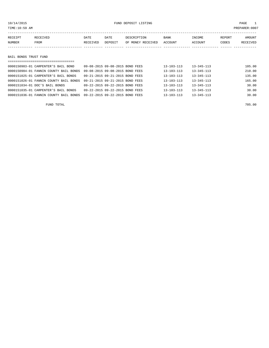TIME:10:59 AM PREPARER:0007

| RECEIPT | RECEIVED | DATE     | DATE    | DESCRIPTION       | <b>BANK</b>    | <b>INCOME</b> | REPORT | AMOUNT          |
|---------|----------|----------|---------|-------------------|----------------|---------------|--------|-----------------|
| NUMBER  | FROM     | RECEIVED | DEPOSIT | OF MONEY RECEIVED | <b>ACCOUNT</b> | ACCOUNT       | CODES  | <b>RECEIVED</b> |
|         |          |          |         |                   |                |               |        |                 |

BAIL BONDS TRUST FUND

| =====================================  |                                 |                  |                  |        |
|----------------------------------------|---------------------------------|------------------|------------------|--------|
| 0000150983-01 CARPENTER'S BAIL BOND    | 09-08-2015 09-08-2015 BOND FEES | 13-103-113       | $13 - 345 - 113$ | 105.00 |
|                                        |                                 |                  |                  |        |
| 0000150984-01 FANNIN COUNTY BAIL BONDS | 09-08-2015 09-08-2015 BOND FEES | 13-103-113       | $13 - 345 - 113$ | 210.00 |
| 0000151025-01 CARPENTER'S BAIL BONDS   | 09-21-2015 09-21-2015 BOND FEES | 13-103-113       | $13 - 345 - 113$ | 135.00 |
| 0000151026-01 FANNIN COUNTY BAIL BONDS | 09-21-2015 09-21-2015 BOND FEES | 13-103-113       | $13 - 345 - 113$ | 165.00 |
| 0000151034-01 DOC'S BAIL BONDS         | 09-22-2015 09-22-2015 BOND FEES | 13-103-113       | $13 - 345 - 113$ | 30.00  |
| 0000151035-01 CARPENTER'S BAIL BONDS   | 09-22-2015 09-22-2015 BOND FEES | 13-103-113       | $13 - 345 - 113$ | 30.00  |
| 0000151036-01 FANNIN COUNTY BAIL BONDS | 09-22-2015 09-22-2015 BOND FEES | $13 - 103 - 113$ | $13 - 345 - 113$ | 30.00  |
|                                        |                                 |                  |                  |        |

FUND TOTAL 705.00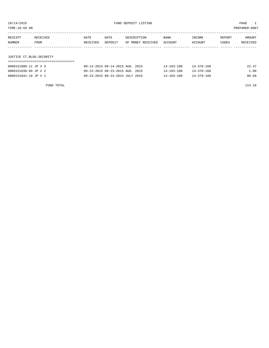TIME:10:59 AM PREPARER:0007

| RECEIPT | RECEIVED                 | DATE     | DATE    | DESCRIPTION       | BANK    | INCOME  | REPORT | AMOUNT   |  |  |  |
|---------|--------------------------|----------|---------|-------------------|---------|---------|--------|----------|--|--|--|
| NUMBER  | FROM                     | RECEIVED | DEPOSIT | OF MONEY RECEIVED | ACCOUNT | ACCOUNT | CODES  | RECEIVED |  |  |  |
|         |                          |          |         |                   |         |         |        |          |  |  |  |
|         |                          |          |         |                   |         |         |        |          |  |  |  |
|         | JUSTICE CT.BLDG.SECURITY |          |         |                   |         |         |        |          |  |  |  |

| 0000151000-11 JP # 3 | 09-14-2015 09-14-2015 AUG. 2015 | $14 - 103 - 100$ | $14 - 370 - 168$ | 22.47 |
|----------------------|---------------------------------|------------------|------------------|-------|
| 0000151038-09 JP # 2 | 09-23-2015 09-23-2015 AUG. 2015 | $14 - 103 - 100$ | $14 - 370 - 168$ | 1.00  |
| 0000151041-10 JP # 1 | 09-23-2015 09-23-2015 JULY 2015 | $14 - 103 - 100$ | $14 - 370 - 168$ | 90.69 |

FUND TOTAL 114.16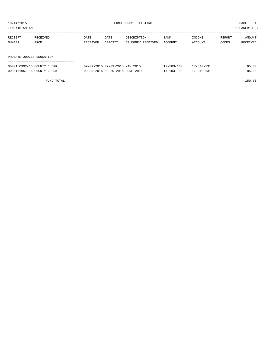TIME:10:59 AM PREPARER:0007

| RECEIPT | RECEIVED                 | DATE     | DATE    | DESCRIPTION       | BANK    | INCOME  | REPORT | AMOUNT   |  |  |  |
|---------|--------------------------|----------|---------|-------------------|---------|---------|--------|----------|--|--|--|
| NUMBER  | FROM                     | RECEIVED | DEPOSIT | OF MONEY RECEIVED | ACCOUNT | ACCOUNT | CODES  | RECEIVED |  |  |  |
|         |                          |          |         |                   |         |         |        |          |  |  |  |
|         |                          |          |         |                   |         |         |        |          |  |  |  |
|         | PROBATE JUDGES EDUCATION |          |         |                   |         |         |        |          |  |  |  |
|         |                          |          |         |                   |         |         |        |          |  |  |  |

| 0000150992-16 COUNTY CLERK | 09-09-2015 09-09-2015 MAY 2015  | $17 - 103 - 100$ | $17 - 340 - 131$ | 65.00 |
|----------------------------|---------------------------------|------------------|------------------|-------|
| 0000151057-16 COUNTY CLERK | 09-30-2015 09-30-2015 JUNE 2015 | 17-103-100       | $17 - 340 - 131$ | 85.00 |

FUND TOTAL 150.00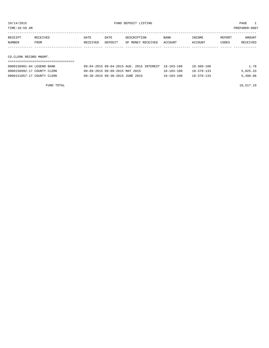TIME:10:59 AM PREPARER:0007

| RECEIPT | RECEIVED               | DATE     | DATE    | DESCRIPTION       | BANK    | INCOME  | REPORT | AMOUNT   |  |  |  |
|---------|------------------------|----------|---------|-------------------|---------|---------|--------|----------|--|--|--|
| NUMBER  | FROM                   | RECEIVED | DEPOSIT | OF MONEY RECEIVED | ACCOUNT | ACCOUNT | CODES  | RECEIVED |  |  |  |
|         |                        |          |         |                   |         |         |        |          |  |  |  |
|         |                        |          |         |                   |         |         |        |          |  |  |  |
|         | CO.CLERK RECORD MNGMT. |          |         |                   |         |         |        |          |  |  |  |
|         |                        |          |         |                   |         |         |        |          |  |  |  |

| 0000150981-04 LEGEND BANK  | 09-04-2015 09-04-2015 AUG. 2015 INTEREST 18-103-100 |  |                  | 18-360-100       | l.78     |
|----------------------------|-----------------------------------------------------|--|------------------|------------------|----------|
| 0000150992-17 COUNTY CLERK | 09-09-2015 09-09-2015 MAY 2015                      |  | $18 - 103 - 100$ | $18 - 370 - 133$ | 5,025.33 |
| 0000151057-17 COUNTY CLERK | 09-30-2015 09-30-2015 JUNE 2015                     |  | $18 - 103 - 100$ | $18 - 370 - 133$ | 5,490.08 |
|                            |                                                     |  |                  |                  |          |

FUND TOTAL 10,517.19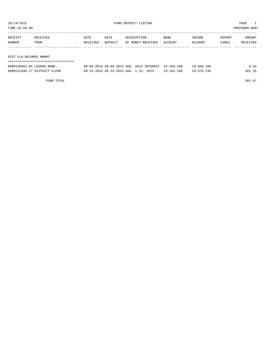| PREPARER: 0007<br>TIME:10:59 AM |                         |          |         |                   |         |         |        |          |  |  |  |
|---------------------------------|-------------------------|----------|---------|-------------------|---------|---------|--------|----------|--|--|--|
| RECEIPT                         | RECEIVED                | DATE     | DATE    | DESCRIPTION       | BANK    | INCOME  | REPORT | AMOUNT   |  |  |  |
| NUMBER                          | FROM                    | RECEIVED | DEPOSIT | OF MONEY RECEIVED | ACCOUNT | ACCOUNT | CODES  | RECEIVED |  |  |  |
|                                 |                         |          |         |                   |         |         |        |          |  |  |  |
|                                 | DIST.CLK.RECORDS MNGMT. |          |         |                   |         |         |        |          |  |  |  |
|                                 |                         |          |         |                   |         |         |        |          |  |  |  |

| 0000150981-05 LEGEND BANK    | 09-04-2015 09-04-2015 AUG. 2015 INTEREST 19-103-100 |                  | $19 - 360 - 100$ | 0.32   |
|------------------------------|-----------------------------------------------------|------------------|------------------|--------|
| 0000151048-17 DISTRICT CLERK | 09-24-2015 09-24-2015 AUG. 1-31, 2015               | $19 - 103 - 100$ | $19 - 370 - 136$ | 301.35 |

FUND TOTAL  $301.67$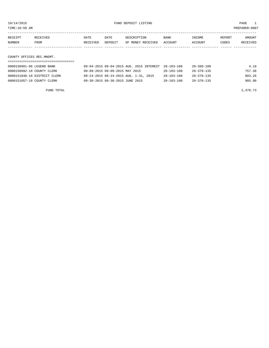TIME:10:59 AM PREPARER:0007

| RECEIPT                   | RECEIVED | DATE     | DATE    | DESCRIPTION       | BANK    | INCOME  | REPORT | AMOUNT   |  |  |
|---------------------------|----------|----------|---------|-------------------|---------|---------|--------|----------|--|--|
| NUMBER                    | FROM     | RECEIVED | DEPOSIT | OF MONEY RECEIVED | ACCOUNT | ACCOUNT | CODES  | RECEIVED |  |  |
|                           |          |          |         |                   |         |         |        |          |  |  |
|                           |          |          |         |                   |         |         |        |          |  |  |
| COUNTY OFFICES REC.MNGMT. |          |          |         |                   |         |         |        |          |  |  |

| 0000150981-06 LEGEND BANK    | 09-04-2015 09-04-2015 AUG. 2015 INTEREST 20-103-100 |                  | 20-360-100       | 4.19   |
|------------------------------|-----------------------------------------------------|------------------|------------------|--------|
| 0000150992-18 COUNTY CLERK   | 09-09-2015 09-09-2015 MAY 2015                      | $20 - 103 - 100$ | $20 - 370 - 135$ | 757.38 |
| 0000151048-18 DISTRICT CLERK | 09-24-2015 09-24-2015 AUG. 1-31, 2015               | $20 - 103 - 100$ | $20 - 370 - 135$ | 803.26 |
| 0000151057-18 COUNTY CLERK   | 09-30-2015 09-30-2015 JUNE 2015                     | $20 - 103 - 100$ | 20-370-135       | 905.90 |

FUND TOTAL  $2,470.73$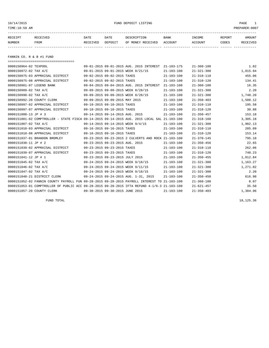10/14/2015 FUND DEPOSIT LISTING PAGE 1

| <b>NUMBER</b> | FROM     | RECEIVED | DEPOSIT     | OF MONEY RECEIVED ACCOUNT |             | ACCOUNT       | CODES  | <b>RECEIVED</b> |
|---------------|----------|----------|-------------|---------------------------|-------------|---------------|--------|-----------------|
| RECEIPT       | RECEIVED | DATE     | <b>DATE</b> | DESCRIPTION               | <b>BANK</b> | <b>TNCOME</b> | REPORT | AMOUNT          |
|               |          |          |             |                           |             |               |        |                 |

FANNIN CO. R & B #1 FUND

| ====================================== |                                                                                              |                  |                  |          |
|----------------------------------------|----------------------------------------------------------------------------------------------|------------------|------------------|----------|
| 0000150964-02 TEXPOOL                  | 09-01-2015 09-01-2015 AUG. 2015 INTEREST                                                     | 21-103-175       | $21 - 360 - 100$ | 1.02     |
| 0000150972-02 TAX A/C                  | 09-01-2015 09-01-2015 WEEK 8/21/15                                                           | $21 - 103 - 100$ | $21 - 321 - 300$ | 1,015.94 |
| 0000150975-03 APPRAISAL DISTRICT       | 09-02-2015 09-02-2015 TAXES                                                                  | $21 - 103 - 100$ | $21 - 310 - 110$ | 455.06   |
| 0000150975-08 APPRAISAL DISTRICT       | 09-02-2015 09-02-2015 TAXES                                                                  | $21 - 103 - 100$ | $21 - 310 - 120$ | 134.41   |
| 0000150981-07 LEGEND BANK              | 09-04-2015 09-04-2015 AUG. 2015 INTEREST                                                     | $21 - 103 - 100$ | $21 - 360 - 100$ | 16.35    |
| 0000150989-02 TAX A/C                  | 09-09-2015 09-09-2015 WEEK 8/28/15                                                           | $21 - 103 - 100$ | $21 - 321 - 300$ | 2.20     |
| 0000150990-02 TAX A/C                  | 09-09-2015 09-09-2015 WEEK 8/28/15                                                           | $21 - 103 - 100$ | $21 - 321 - 300$ | 1,748.20 |
| 0000150992-20 COUNTY CLERK             | 09-09-2015 09-09-2015 MAY 2015                                                               | $21 - 103 - 100$ | $21 - 350 - 403$ | 1,500.12 |
| 0000150997-02 APPRAISAL DISTRICT       | 09-10-2015 09-10-2015 TAXES                                                                  | $21 - 103 - 100$ | $21 - 310 - 110$ | 195.58   |
| 0000150997-07 APPRAISAL DISTRICT       | 09-10-2015 09-10-2015 TAXES                                                                  | $21 - 103 - 100$ | $21 - 310 - 120$ | 30.88    |
| 0000151000-13 JP # 3                   | 09-14-2015 09-14-2015 AUG. 2015                                                              | $21 - 103 - 100$ | $21 - 350 - 457$ | 153.18   |
|                                        | 0000151001-02 COMPTROLLER - STATE FISCA 09-14-2015 09-14-2015 AUG. 2015 LOCAL SAL 21-103-100 |                  | $21 - 318 - 160$ | 3,305.18 |
| 0000151007-02 TAX A/C                  | 09-14-2015 09-14-2015 WEEK 9/4/15                                                            | $21 - 103 - 100$ | $21 - 321 - 300$ | 1,902.13 |
| 0000151010-03 APPRAISAL DISTRICT       | 09-16-2015 09-16-2015 TAXES                                                                  | $21 - 103 - 100$ | $21 - 310 - 110$ | 285.09   |
| 0000151010-08 APPRAISAL DISTRICT       | 09-16-2015 09-16-2015 TAXES                                                                  | $21 - 103 - 100$ | $21 - 310 - 120$ | 153.14   |
| 0000151037-01 BRANDON BROMLEY          | 09-23-2015 09-23-2015 2 CULVERTS AND ROCK 21-103-100                                         |                  | $21 - 370 - 145$ | 795.10   |
| 0000151038-11 JP # 2                   | 09-23-2015 09-23-2015 AUG. 2015                                                              | $21 - 103 - 100$ | $21 - 350 - 456$ | 22.65    |
| 0000151039-02 APPRAISAL DISTRICT       | 09-23-2015 09-23-2015 TAXES                                                                  | $21 - 103 - 100$ | $21 - 310 - 110$ | 262.06   |
| 0000151039-07 APPRAISAL DISTRICT       | 09-23-2015 09-23-2015 TAXES                                                                  | $21 - 103 - 100$ | $21 - 310 - 120$ | 740.23   |
| 0000151041-12 JP # 1                   | 09-23-2015 09-23-2015 JULY 2015                                                              | $21 - 103 - 100$ | $21 - 350 - 455$ | 1,012.84 |
| 0000151045-02 TAX A/C                  | 09-24-2015 09-24-2015 WEEK 9/18/15                                                           | $21 - 103 - 100$ | $21 - 321 - 300$ | 1,163.27 |
| 0000151046-02 TAX A/C                  | 09-24-2015 09-24-2015 WEEK 9/11/15                                                           | $21 - 103 - 100$ | $21 - 321 - 300$ | 1,271.02 |
| 0000151047-02 TAX A/C                  | 09-24-2015 09-24-2015 WEEK 9/18/15                                                           | $21 - 103 - 100$ | $21 - 321 - 300$ | 2.20     |
| 0000151048-21 DISTRICT CLERK           | 09-24-2015 09-24-2015 AUG. 1-31, 2015                                                        | $21 - 103 - 100$ | $21 - 350 - 450$ | 616.98   |
|                                        | 0000151052-02 FANNIN COUNTY PAYROLL FUN 09-28-2015 09-28-2015 PAYROLL INTEREST TO 21-103-100 |                  | $21 - 360 - 100$ | 0.07     |
|                                        | 0000151053-01 COMPTROLLER OF PUBLIC ACC 09-28-2015 09-28-2015 IFTA REFUND 4-1/6-3 21-103-100 |                  | $21 - 621 - 457$ | 35.50    |
| 0000151057-20 COUNTY CLERK             | 09-30-2015 09-30-2015 JUNE 2015                                                              | $21 - 103 - 100$ | $21 - 350 - 403$ | 1,304.96 |
|                                        |                                                                                              |                  |                  |          |

FUND TOTAL 18,125.36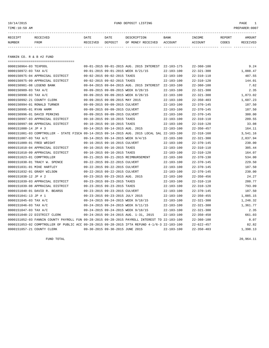## 10/14/2015 FUND DEPOSIT LISTING PAGE 1

| RECEIPT | RECEIVED | DATE     | DATE    | DESCRIPTION               | <b>BANK</b> | INCOME  | REPORT | AMOUNT   |
|---------|----------|----------|---------|---------------------------|-------------|---------|--------|----------|
| NUMBER  | FROM     | RECEIVED | DEPOSIT | OF MONEY RECEIVED ACCOUNT |             | ACCOUNT | CODES  | RECEIVED |
|         |          |          |         |                           |             |         |        |          |
|         |          |          |         |                           |             |         |        |          |

FANNIN CO. R & B #2 FUND

| ===================================== |                                                                                              |                  |                  |          |
|---------------------------------------|----------------------------------------------------------------------------------------------|------------------|------------------|----------|
| 0000150964-03 TEXPOOL                 | 09-01-2015 09-01-2015 AUG. 2015 INTEREST 22-103-175                                          |                  | $22 - 360 - 100$ | 9.24     |
| 0000150972-03 TAX A/C                 | 09-01-2015 09-01-2015 WEEK 8/21/15                                                           | $22 - 103 - 100$ | $22 - 321 - 300$ | 1,088.47 |
| 0000150975-04 APPRAISAL DISTRICT      | 09-02-2015 09-02-2015 TAXES                                                                  | $22 - 103 - 100$ | $22 - 310 - 110$ | 487.55   |
| 0000150975-09 APPRAISAL DISTRICT      | 09-02-2015 09-02-2015 TAXES                                                                  | $22 - 103 - 100$ | $22 - 310 - 120$ | 144.01   |
| 0000150981-08 LEGEND BANK             | 09-04-2015 09-04-2015 AUG. 2015 INTEREST                                                     | 22-103-100       | $22 - 360 - 100$ | 7.62     |
| 0000150989-03 TAX A/C                 | 09-09-2015 09-09-2015 WEEK 8/28/15                                                           | $22 - 103 - 100$ | $22 - 321 - 300$ | 2.35     |
| 0000150990-03 TAX A/C                 | 09-09-2015 09-09-2015 WEEK 8/28/15                                                           | $22 - 103 - 100$ | $22 - 321 - 300$ | 1,873.02 |
| 0000150992-21 COUNTY CLERK            | 09-09-2015 09-09-2015 MAY 2015                                                               | $22 - 103 - 100$ | $22 - 350 - 403$ | 1,607.23 |
| 0000150994-01 RONALD TURNER           | 09-09-2015 09-09-2015 CULVERT                                                                | $22 - 103 - 100$ | $22 - 370 - 145$ | 187.50   |
| 0000150995-01 RYAN HAMM               | 09-09-2015 09-09-2015 CULVERT                                                                | $22 - 103 - 100$ | $22 - 370 - 145$ | 187.50   |
| 0000150996-01 DAVID PERKINS           | 09-09-2015 09-09-2015 CULVERT                                                                | $22 - 103 - 100$ | $22 - 370 - 145$ | 380.00   |
| 0000150997-03 APPRAISAL DISTRICT      | 09-10-2015 09-10-2015 TAXES                                                                  | $22 - 103 - 100$ | $22 - 310 - 110$ | 209.55   |
| 0000150997-08 APPRAISAL DISTRICT      | 09-10-2015 09-10-2015 TAXES                                                                  | $22 - 103 - 100$ | $22 - 310 - 120$ | 33.08    |
| 0000151000-14 JP # 3                  | 09-14-2015 09-14-2015 AUG. 2015                                                              | $22 - 103 - 100$ | $22 - 350 - 457$ | 164.11   |
|                                       | 0000151001-03 COMPTROLLER - STATE FISCA 09-14-2015 09-14-2015 AUG. 2015 LOCAL SAL 22-103-100 |                  | $22 - 318 - 160$ | 3,541.16 |
| 0000151007-03 TAX A/C                 | 09-14-2015 09-14-2015 WEEK 9/4/15                                                            | $22 - 103 - 100$ | $22 - 321 - 300$ | 2,037.94 |
| 0000151009-01 FRED WRIGHT             | 09-16-2015 09-16-2015 CULVERT                                                                | $22 - 103 - 100$ | $22 - 370 - 145$ | 230.00   |
| 0000151010-04 APPRAISAL DISTRICT      | 09-16-2015 09-16-2015 TAXES                                                                  | $22 - 103 - 100$ | $22 - 310 - 110$ | 305.44   |
| 0000151010-09 APPRAISAL DISTRICT      | 09-16-2015 09-16-2015 TAXES                                                                  | $22 - 103 - 100$ | $22 - 310 - 120$ | 164.07   |
| 0000151023-01 COMPTROLLER             | 09-21-2015 09-21-2015 REIMBURSEMENT                                                          | $22 - 103 - 100$ | $22 - 370 - 130$ | 534.00   |
| 0000151030-01 TRACY W. SPENCE         | 09-22-2015 09-22-2015 CULVERT                                                                | $22 - 103 - 100$ | $22 - 370 - 145$ | 229.50   |
| 0000151031-01 MIKE HARTLEY            | 09-22-2015 09-22-2015 CULVERT                                                                | $22 - 103 - 100$ | $22 - 370 - 145$ | 187.50   |
| 0000151032-01 GRADY WILSON            | 09-22-2015 09-22-2015 CULVERT                                                                | $22 - 103 - 100$ | $22 - 370 - 145$ | 230.00   |
| 0000151038-12 JP # 2                  | 09-23-2015 09-23-2015 AUG. 2015                                                              | $22 - 103 - 100$ | $22 - 350 - 456$ | 24.27    |
| 0000151039-03 APPRAISAL DISTRICT      | 09-23-2015 09-23-2015 TAXES                                                                  | $22 - 103 - 100$ | $22 - 310 - 110$ | 280.77   |
| 0000151039-08 APPRAISAL DISTRICT      | 09-23-2015 09-23-2015 TAXES                                                                  | $22 - 103 - 100$ | $22 - 310 - 120$ | 793.09   |
| 0000151040-01 DAVID R. BEARSS         | 09-23-2015 09-23-2015 CULVERT                                                                | $22 - 103 - 100$ | $22 - 370 - 145$ | 187.50   |
| 0000151041-13 JP # 1                  | 09-23-2015 09-23-2015 JULY 2015                                                              | $22 - 103 - 100$ | $22 - 350 - 455$ | 1,085.15 |
| 0000151045-03 TAX A/C                 | 09-24-2015 09-24-2015 WEEK 9/18/15                                                           | $22 - 103 - 100$ | $22 - 321 - 300$ | 1,246.32 |
| 0000151046-03 TAX A/C                 | 09-24-2015 09-24-2015 WEEK 9/11/15                                                           | $22 - 103 - 100$ | $22 - 321 - 300$ | 1,361.77 |
| 0000151047-03 TAX A/C                 | 09-24-2015 09-24-2015 WEEK 9/18/15                                                           | $22 - 103 - 100$ | $22 - 321 - 300$ | 2.35     |
| 0000151048-22 DISTRICT CLERK          | 09-24-2015 09-24-2015 AUG. 1-31, 2015                                                        | $22 - 103 - 100$ | $22 - 350 - 450$ | 661.03   |
|                                       | 0000151052-03 FANNIN COUNTY PAYROLL FUN 09-28-2015 09-28-2015 PAYROLL INTEREST TO 22-103-100 |                  | $22 - 360 - 100$ | 0.07     |
|                                       | 0000151053-02 COMPTROLLER OF PUBLIC ACC 09-28-2015 09-28-2015 IFTA REFUND 4-1/6-3 22-103-100 |                  | $22 - 622 - 457$ | 82.82    |
| 0000151057-21 COUNTY CLERK            | 09-30-2015 09-30-2015 JUNE 2015                                                              | $22 - 103 - 100$ | $22 - 350 - 403$ | 1,398.13 |

FUND TOTAL 20,964.11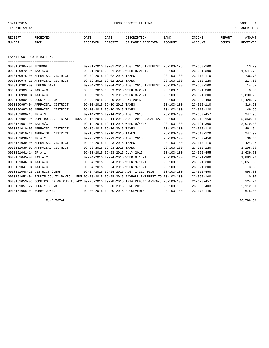## 10/14/2015 FUND DEPOSIT LISTING PAGE 1

| RECEIPT       | <b>RECEIVED</b> | DATE     | DATE    | DESCRIPTION       | BANK    | INCOME         | REPORT | AMOUNT          |
|---------------|-----------------|----------|---------|-------------------|---------|----------------|--------|-----------------|
| <b>NUMBER</b> | FROM            | RECEIVED | DEPOSIT | OF MONEY RECEIVED | ACCOUNT | <b>ACCOUNT</b> | CODES  | <b>RECEIVED</b> |
|               |                 |          |         |                   |         |                |        |                 |

FANNIN CO. R & B #3 FUND

|  | $23 - 103 - 175$                                                                                                                                                                                                                                                                                                                                                                                                                                                                                                                                                                                                                                                                                                                                                                                                                                                                 | $23 - 360 - 100$                                                                                                                                                                                                                                                                             | 13.79    |
|--|----------------------------------------------------------------------------------------------------------------------------------------------------------------------------------------------------------------------------------------------------------------------------------------------------------------------------------------------------------------------------------------------------------------------------------------------------------------------------------------------------------------------------------------------------------------------------------------------------------------------------------------------------------------------------------------------------------------------------------------------------------------------------------------------------------------------------------------------------------------------------------|----------------------------------------------------------------------------------------------------------------------------------------------------------------------------------------------------------------------------------------------------------------------------------------------|----------|
|  | $23 - 103 - 100$                                                                                                                                                                                                                                                                                                                                                                                                                                                                                                                                                                                                                                                                                                                                                                                                                                                                 | $23 - 321 - 300$                                                                                                                                                                                                                                                                             | 1,644.72 |
|  | $23 - 103 - 100$                                                                                                                                                                                                                                                                                                                                                                                                                                                                                                                                                                                                                                                                                                                                                                                                                                                                 | $23 - 310 - 110$                                                                                                                                                                                                                                                                             | 736.70   |
|  | $23 - 103 - 100$                                                                                                                                                                                                                                                                                                                                                                                                                                                                                                                                                                                                                                                                                                                                                                                                                                                                 | $23 - 310 - 120$                                                                                                                                                                                                                                                                             | 217.60   |
|  | $23 - 103 - 100$                                                                                                                                                                                                                                                                                                                                                                                                                                                                                                                                                                                                                                                                                                                                                                                                                                                                 | $23 - 360 - 100$                                                                                                                                                                                                                                                                             | 14.87    |
|  | $23 - 103 - 100$                                                                                                                                                                                                                                                                                                                                                                                                                                                                                                                                                                                                                                                                                                                                                                                                                                                                 | $23 - 321 - 300$                                                                                                                                                                                                                                                                             | 3.56     |
|  | $23 - 103 - 100$                                                                                                                                                                                                                                                                                                                                                                                                                                                                                                                                                                                                                                                                                                                                                                                                                                                                 | $23 - 321 - 300$                                                                                                                                                                                                                                                                             | 2,830.20 |
|  | $23 - 103 - 100$                                                                                                                                                                                                                                                                                                                                                                                                                                                                                                                                                                                                                                                                                                                                                                                                                                                                 | $23 - 350 - 403$                                                                                                                                                                                                                                                                             | 2,428.57 |
|  | $23 - 103 - 100$                                                                                                                                                                                                                                                                                                                                                                                                                                                                                                                                                                                                                                                                                                                                                                                                                                                                 | $23 - 310 - 110$                                                                                                                                                                                                                                                                             | 316.63   |
|  | $23 - 103 - 100$                                                                                                                                                                                                                                                                                                                                                                                                                                                                                                                                                                                                                                                                                                                                                                                                                                                                 | $23 - 310 - 120$                                                                                                                                                                                                                                                                             | 49.99    |
|  | $23 - 103 - 100$                                                                                                                                                                                                                                                                                                                                                                                                                                                                                                                                                                                                                                                                                                                                                                                                                                                                 | $23 - 350 - 457$                                                                                                                                                                                                                                                                             | 247.98   |
|  |                                                                                                                                                                                                                                                                                                                                                                                                                                                                                                                                                                                                                                                                                                                                                                                                                                                                                  | $23 - 318 - 160$                                                                                                                                                                                                                                                                             | 5,350.81 |
|  | $23 - 103 - 100$                                                                                                                                                                                                                                                                                                                                                                                                                                                                                                                                                                                                                                                                                                                                                                                                                                                                 | $23 - 321 - 300$                                                                                                                                                                                                                                                                             | 3,079.40 |
|  | $23 - 103 - 100$                                                                                                                                                                                                                                                                                                                                                                                                                                                                                                                                                                                                                                                                                                                                                                                                                                                                 | $23 - 310 - 110$                                                                                                                                                                                                                                                                             | 461.54   |
|  | $23 - 103 - 100$                                                                                                                                                                                                                                                                                                                                                                                                                                                                                                                                                                                                                                                                                                                                                                                                                                                                 | $23 - 310 - 120$                                                                                                                                                                                                                                                                             | 247.92   |
|  | $23 - 103 - 100$                                                                                                                                                                                                                                                                                                                                                                                                                                                                                                                                                                                                                                                                                                                                                                                                                                                                 | $23 - 350 - 456$                                                                                                                                                                                                                                                                             | 36.66    |
|  | $23 - 103 - 100$                                                                                                                                                                                                                                                                                                                                                                                                                                                                                                                                                                                                                                                                                                                                                                                                                                                                 | $23 - 310 - 110$                                                                                                                                                                                                                                                                             | 424.26   |
|  | $23 - 103 - 100$                                                                                                                                                                                                                                                                                                                                                                                                                                                                                                                                                                                                                                                                                                                                                                                                                                                                 | $23 - 310 - 120$                                                                                                                                                                                                                                                                             | 1,198.38 |
|  | $23 - 103 - 100$                                                                                                                                                                                                                                                                                                                                                                                                                                                                                                                                                                                                                                                                                                                                                                                                                                                                 | $23 - 350 - 455$                                                                                                                                                                                                                                                                             | 1,639.70 |
|  | $23 - 103 - 100$                                                                                                                                                                                                                                                                                                                                                                                                                                                                                                                                                                                                                                                                                                                                                                                                                                                                 | $23 - 321 - 300$                                                                                                                                                                                                                                                                             | 1,883.24 |
|  | $23 - 103 - 100$                                                                                                                                                                                                                                                                                                                                                                                                                                                                                                                                                                                                                                                                                                                                                                                                                                                                 | $23 - 321 - 300$                                                                                                                                                                                                                                                                             | 2,057.68 |
|  | $23 - 103 - 100$                                                                                                                                                                                                                                                                                                                                                                                                                                                                                                                                                                                                                                                                                                                                                                                                                                                                 | $23 - 321 - 300$                                                                                                                                                                                                                                                                             | 3.56     |
|  | $23 - 103 - 100$                                                                                                                                                                                                                                                                                                                                                                                                                                                                                                                                                                                                                                                                                                                                                                                                                                                                 | $23 - 350 - 450$                                                                                                                                                                                                                                                                             | 998.83   |
|  |                                                                                                                                                                                                                                                                                                                                                                                                                                                                                                                                                                                                                                                                                                                                                                                                                                                                                  | $23 - 360 - 100$                                                                                                                                                                                                                                                                             | 0.07     |
|  |                                                                                                                                                                                                                                                                                                                                                                                                                                                                                                                                                                                                                                                                                                                                                                                                                                                                                  | $23 - 623 - 457$                                                                                                                                                                                                                                                                             | 124.24   |
|  | $23 - 103 - 100$                                                                                                                                                                                                                                                                                                                                                                                                                                                                                                                                                                                                                                                                                                                                                                                                                                                                 | $23 - 350 - 403$                                                                                                                                                                                                                                                                             | 2,112.61 |
|  | $23 - 103 - 100$                                                                                                                                                                                                                                                                                                                                                                                                                                                                                                                                                                                                                                                                                                                                                                                                                                                                 | $23 - 370 - 145$                                                                                                                                                                                                                                                                             | 675.00   |
|  | 09-01-2015 09-01-2015 AUG. 2015 INTEREST<br>09-01-2015 09-01-2015 WEEK 8/21/15<br>09-02-2015 09-02-2015 TAXES<br>09-02-2015 09-02-2015 TAXES<br>09-04-2015 09-04-2015 AUG. 2015 INTEREST<br>09-09-2015 09-09-2015 WEEK 8/28/15<br>09-09-2015 09-09-2015 WEEK 8/28/15<br>09-09-2015 09-09-2015 MAY 2015<br>09-10-2015 09-10-2015 TAXES<br>09-10-2015 09-10-2015 TAXES<br>09-14-2015 09-14-2015 AUG. 2015<br>09-14-2015 09-14-2015 WEEK 9/4/15<br>09-16-2015 09-16-2015 TAXES<br>09-16-2015 09-16-2015 TAXES<br>09-23-2015 09-23-2015 AUG. 2015<br>09-23-2015 09-23-2015 TAXES<br>09-23-2015 09-23-2015 TAXES<br>09-23-2015 09-23-2015 JULY 2015<br>09-24-2015 09-24-2015 WEEK 9/18/15<br>09-24-2015 09-24-2015 WEEK 9/11/15<br>09-24-2015 09-24-2015 WEEK 9/18/15<br>09-24-2015 09-24-2015 AUG. 1-31, 2015<br>09-30-2015 09-30-2015 JUNE 2015<br>09-30-2015 09-30-2015 3 CULVERTS | 0000151001-04 COMPTROLLER - STATE FISCA 09-14-2015 09-14-2015 AUG. 2015 LOCAL SAL 23-103-100<br>0000151052-04 FANNIN COUNTY PAYROLL FUN 09-28-2015 09-28-2015 PAYROLL INTEREST TO 23-103-100<br>0000151053-03 COMPTROLLER OF PUBLIC ACC 09-28-2015 09-28-2015 IFTA REFUND 4-1/6-3 23-103-100 |          |

FUND TOTAL 28,798.51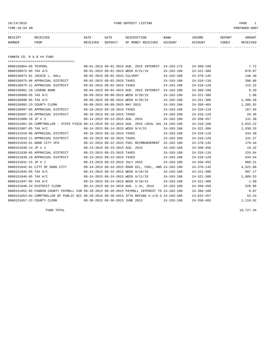## 10/14/2015 FUND DEPOSIT LISTING PAGE 1

| RECEIPT | RECEIVED | DATE     | DATE    | DESCRIPTION               | <b>BANK</b> | <b>TNCOME</b> | REPORT | AMOUNT          |
|---------|----------|----------|---------|---------------------------|-------------|---------------|--------|-----------------|
| NUMBER  | FROM     | RECEIVED | DEPOSIT | OF MONEY RECEIVED ACCOUNT |             | ACCOUNT       | CODES  | <b>RECEIVED</b> |
|         |          |          |         |                           |             |               |        |                 |

FANNIN CO. R & B #4 FUND

| ======================================                                                       |                                 |                                 |                                                      |                  |                  |          |
|----------------------------------------------------------------------------------------------|---------------------------------|---------------------------------|------------------------------------------------------|------------------|------------------|----------|
| 0000150964-05 TEXPOOL                                                                        |                                 |                                 | 09-01-2015 09-01-2015 AUG. 2015 INTEREST 24-103-175  |                  | $24 - 360 - 100$ | 7.72     |
| 0000150972-05 TAX A/C                                                                        |                                 |                                 | 09-01-2015 09-01-2015 WEEK 8/21/15                   | $24 - 103 - 100$ | $24 - 321 - 300$ | 870.87   |
| 0000150973-01 JACKIE L. HALL                                                                 |                                 | 09-02-2015 09-02-2015 CULVERT   |                                                      | $24 - 103 - 100$ | $24 - 370 - 145$ | 146.40   |
| 0000150975-06 APPRAISAL DISTRICT                                                             | 09-02-2015 09-02-2015 TAXES     |                                 |                                                      | 24-103-100       | $24 - 310 - 110$ | 390.08   |
| 0000150975-11 APPRAISAL DISTRICT                                                             | 09-02-2015 09-02-2015 TAXES     |                                 |                                                      | 24-103-100       | $24 - 310 - 120$ | 115.22   |
| 0000150981-10 LEGEND BANK                                                                    |                                 |                                 | 09-04-2015 09-04-2015 AUG. 2015 INTEREST             | 24-103-100       | $24 - 360 - 100$ | 8.20     |
| 0000150989-05 TAX A/C                                                                        |                                 |                                 | 09-09-2015 09-09-2015 WEEK 8/28/15                   | $24 - 103 - 100$ | $24 - 321 - 300$ | 1.89     |
| 0000150990-05 TAX A/C                                                                        |                                 |                                 | 09-09-2015 09-09-2015 WEEK 8/28/15                   | $24 - 103 - 100$ | $24 - 321 - 300$ | 1,498.58 |
| 0000150992-23 COUNTY CLERK                                                                   | 09-09-2015 09-09-2015 MAY 2015  |                                 |                                                      | $24 - 103 - 100$ | $24 - 350 - 403$ | 1,285.92 |
| 0000150997-05 APPRAISAL DISTRICT                                                             | 09-10-2015 09-10-2015 TAXES     |                                 |                                                      | $24 - 103 - 100$ | $24 - 310 - 110$ | 167.65   |
| 0000150997-10 APPRAISAL DISTRICT                                                             | 09-10-2015 09-10-2015 TAXES     |                                 |                                                      | $24 - 103 - 100$ | $24 - 310 - 120$ | 26.46    |
| 0000151000-16 JP # 3                                                                         |                                 | 09-14-2015 09-14-2015 AUG. 2015 |                                                      | $24 - 103 - 100$ | $24 - 350 - 457$ | 131.30   |
| 0000151001-05 COMPTROLLER - STATE FISCA 09-14-2015 09-14-2015 AUG. 2015 LOCAL SAL 24-103-100 |                                 |                                 |                                                      |                  | $24 - 318 - 160$ | 2,833.22 |
| 0000151007-05 TAX A/C                                                                        |                                 |                                 | 09-14-2015 09-14-2015 WEEK 9/4/15                    | $24 - 103 - 100$ | $24 - 321 - 300$ | 1,630.53 |
| 0000151010-06 APPRAISAL DISTRICT                                                             |                                 | 09-16-2015 09-16-2015 TAXES     |                                                      | $24 - 103 - 100$ | $24 - 310 - 110$ | 244.38   |
| 0000151010-11 APPRAISAL DISTRICT                                                             | 09-16-2015 09-16-2015 TAXES     |                                 |                                                      | $24 - 103 - 100$ | $24 - 310 - 120$ | 131.27   |
| 0000151033-01 DODD CITY VFD                                                                  |                                 |                                 | 09-22-2015 09-22-2015 FUEL REIMBURSEMENT 24-103-100  |                  | $24 - 370 - 145$ | 179.44   |
| 0000151038-14 JP # 2                                                                         |                                 | 09-23-2015 09-23-2015 AUG. 2015 |                                                      | $24 - 103 - 100$ | $24 - 350 - 456$ | 19.42    |
| 0000151039-05 APPRAISAL DISTRICT                                                             |                                 | 09-23-2015 09-23-2015 TAXES     |                                                      | 24-103-100       | $24 - 310 - 110$ | 224.64   |
| 0000151039-10 APPRAISAL DISTRICT                                                             | 09-23-2015 09-23-2015 TAXES     |                                 |                                                      | 24-103-100       | $24 - 310 - 120$ | 634.54   |
| 0000151041-15 JP # 1                                                                         | 09-23-2015 09-23-2015 JULY 2015 |                                 |                                                      | $24 - 103 - 100$ | $24 - 350 - 455$ | 868.21   |
| 0000151042-01 CITY OF DODD CITY                                                              |                                 |                                 | 09-24-2015 09-24-2015 ROAD OIL, FUEL, AND 24-103-100 |                  | $24 - 370 - 145$ | 4,522.00 |
| 0000151045-05 TAX A/C                                                                        |                                 |                                 | 09-24-2015 09-24-2015 WEEK 9/18/15                   | $24 - 103 - 100$ | $24 - 321 - 300$ | 997.17   |
| 0000151046-05 TAX A/C                                                                        |                                 |                                 | 09-24-2015 09-24-2015 WEEK 9/11/15                   | $24 - 103 - 100$ | $24 - 321 - 300$ | 1,089.53 |
| 0000151047-05 TAX A/C                                                                        |                                 |                                 | 09-24-2015 09-24-2015 WEEK 9/18/15                   | 24-103-100       | $24 - 321 - 300$ | 1.89     |
| 0000151048-24 DISTRICT CLERK                                                                 |                                 |                                 | 09-24-2015 09-24-2015 AUG. 1-31, 2015                | $24 - 103 - 100$ | $24 - 350 - 450$ | 528.88   |
| 0000151052-05 FANNIN COUNTY PAYROLL FUN 09-28-2015 09-28-2015 PAYROLL INTEREST TO 24-103-100 |                                 |                                 |                                                      |                  | $24 - 360 - 100$ | 0.07     |
| 0000151053-04 COMPTROLLER OF PUBLIC ACC 09-28-2015 09-28-2015 IFTA REFUND 4-1/6-3 24-103-100 |                                 |                                 |                                                      |                  | $24 - 624 - 457$ | 53.24    |
| 0000151057-23 COUNTY CLERK                                                                   | 09-30-2015 09-30-2015 JUNE 2015 |                                 |                                                      | $24 - 103 - 100$ | $24 - 350 - 403$ | 1,118.62 |

FUND TOTAL 19,727.34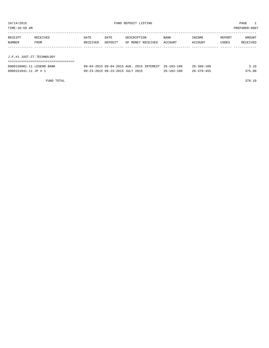TIME:10:59 AM PREPARER:0007 ----------------------------------------------------------------------------------------------------------------------------------- RECEIPT RECEIVED DATE DATE DESCRIPTION BANK INCOME REPORT AMOUNT NUMBER FROM RECEIVED DEPOSIT OF MONEY RECEIVED ACCOUNT ACCOUNT CODES RECEIVED ------------- ------------------------- ---------- ---------- ------------------- -------------- -------------- ------ ------------ J.P.#1 JUST.CT.TECHNOLOGY ===================================

| 0000150981-11 LEGEND BANK | 09-04-2015 09-04-2015 AUG. 2015 INTEREST 26-103-100 |                  | $26 - 360 - 100$ | 3.10   |
|---------------------------|-----------------------------------------------------|------------------|------------------|--------|
| 0000151041-11 JP # 1      | 09-23-2015 09-23-2015 JULY 2015                     | $26 - 103 - 100$ | $26 - 370 - 455$ | 375.00 |

FUND TOTAL 378.10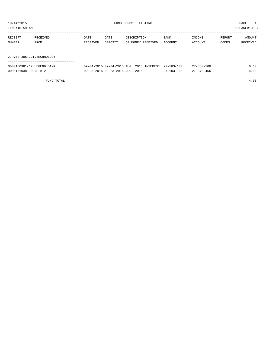| TIME:10:59 AM             |                  |                  |                                          |             |                   |                        |                   |                 | PREPARER:0007      |
|---------------------------|------------------|------------------|------------------------------------------|-------------|-------------------|------------------------|-------------------|-----------------|--------------------|
| RECEIPT<br>NUMBER         | RECEIVED<br>FROM | DATE<br>RECEIVED | DATE<br>DEPOSIT                          | DESCRIPTION | OF MONEY RECEIVED | <b>BANK</b><br>ACCOUNT | INCOME<br>ACCOUNT | REPORT<br>CODES | AMOUNT<br>RECEIVED |
|                           |                  |                  |                                          |             |                   |                        |                   |                 |                    |
| J.P.#2 JUST.CT.TECHNOLOGY |                  |                  |                                          |             |                   |                        |                   |                 |                    |
|                           |                  |                  |                                          |             |                   |                        |                   |                 |                    |
| 0000150981-12 LEGEND BANK |                  |                  | 09-04-2015 09-04-2015 AUG. 2015 INTEREST |             |                   | $27 - 103 - 100$       | $27 - 360 - 100$  |                 | 0.60               |
| 0000151038-10 JP # 2      |                  |                  | 09-23-2015 09-23-2015 AUG. 2015          |             |                   | $27 - 103 - 100$       | $27 - 370 - 456$  |                 | 4.00               |
|                           |                  |                  |                                          |             |                   |                        |                   |                 |                    |

FUND TOTAL 4.60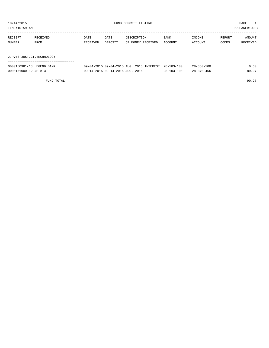| 10/14/2015<br>TIME:10:59 AM |          |          |                                 | FUND DEPOSIT LISTING                     |                  |                  |        | PAGE<br>PREPARER: 0007 |
|-----------------------------|----------|----------|---------------------------------|------------------------------------------|------------------|------------------|--------|------------------------|
| RECEIPT                     | RECEIVED | DATE     | DATE                            | DESCRIPTION                              | BANK             | INCOME           | REPORT | AMOUNT                 |
| NUMBER                      | FROM     | RECEIVED | DEPOSIT                         | OF MONEY RECEIVED                        | ACCOUNT          | ACCOUNT          | CODES  | RECEIVED               |
|                             |          |          |                                 |                                          |                  |                  |        |                        |
| J.P.#3 JUST.CT.TECHNOLOGY   |          |          |                                 |                                          |                  |                  |        |                        |
|                             |          |          |                                 |                                          |                  |                  |        |                        |
| 0000150981-13 LEGEND BANK   |          |          |                                 | 09-04-2015 09-04-2015 AUG. 2015 INTEREST | $28 - 103 - 100$ | $28 - 360 - 100$ |        | 0.30                   |
| 0000151000-12 JP # 3        |          |          | 09-14-2015 09-14-2015 AUG. 2015 |                                          | $28 - 103 - 100$ | $28 - 370 - 456$ |        | 89.97                  |

FUND TOTAL 90.27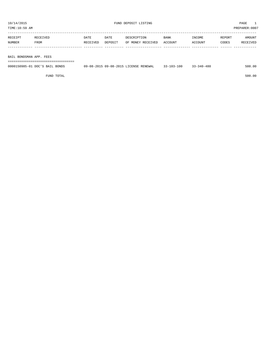| RECEIPT | RECEIVED | DATE     | DATE    | DESCRIPTION       | BANK    | INCOME  | REPORT | AMOUNT   |
|---------|----------|----------|---------|-------------------|---------|---------|--------|----------|
| NUMBER  | FROM     | RECEIVED | DEPOSIT | OF MONEY RECEIVED | ACCOUNT | ACCOUNT | CODES  | RECEIVED |
|         |          |          |         |                   |         |         |        |          |
|         |          |          |         |                   |         |         |        |          |

BAIL BONDSMAN APP. FEES

===================================

| 0000150985-01 DOC'S BAIL BONDS | 09-08-2015 09-08-2015 LICENSE RENEWAL | -100<br>$3 - 103 - 1$ | 3-340-480 | 500.00 |
|--------------------------------|---------------------------------------|-----------------------|-----------|--------|
|                                |                                       |                       |           |        |

FUND TOTAL 500.00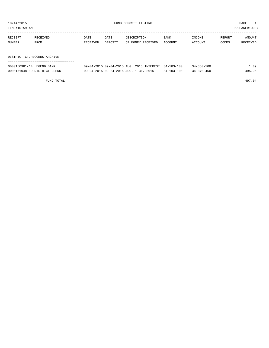TIME:10:59 AM PREPARER:0007

| RECEIPT | RECEIVED                    | DATE     | DATE    | DESCRIPTION       | <b>BANK</b> | INCOME  | REPORT | AMOUNT   |  |
|---------|-----------------------------|----------|---------|-------------------|-------------|---------|--------|----------|--|
| NUMBER  | FROM                        | RECEIVED | DEPOSIT | OF MONEY RECEIVED | ACCOUNT     | ACCOUNT | CODES  | RECEIVED |  |
|         |                             |          |         |                   |             |         |        |          |  |
|         |                             |          |         |                   |             |         |        |          |  |
|         | DISTRICT CT.RECORDS ARCHIVE |          |         |                   |             |         |        |          |  |

| 0000150981-14 LEGEND BANK    | 09-04-2015 09-04-2015 AUG. 2015 INTEREST 34-103-100 |                  | 34-360-100 | 1.09   |
|------------------------------|-----------------------------------------------------|------------------|------------|--------|
| 0000151048-19 DISTRICT CLERK | 09-24-2015 09-24-2015 AUG. 1-31, 2015               | $34 - 103 - 100$ | 34-370-450 | 495.95 |

FUND TOTAL 497.04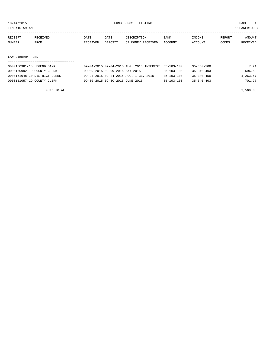TIME:10:59 AM PREPARER:0007

| RECEIPT | RECEIVED    | DATE     | DATE    | DESCRIPTION       | <b>BANK</b> | INCOME  | REPORT | AMOUNT   |
|---------|-------------|----------|---------|-------------------|-------------|---------|--------|----------|
| NUMBER  | <b>FROM</b> | RECEIVED | DEPOSIT | OF MONEY RECEIVED | ACCOUNT     | ACCOUNT | CODES  | RECEIVED |
|         |             |          |         |                   |             |         |        |          |

#### LAW LIBRARY FUND

| 0000150981-15 LEGEND BANK    | 09-04-2015 09-04-2015 AUG. 2015 INTEREST 35-103-100 |                  | 35-360-100       | 7.21     |
|------------------------------|-----------------------------------------------------|------------------|------------------|----------|
| 0000150992-19 COUNTY CLERK   | 09-09-2015 09-09-2015 MAY 2015                      | 35-103-100       | $35 - 340 - 403$ | 596.53   |
| 0000151048-20 DISTRICT CLERK | 09-24-2015 09-24-2015 AUG. 1-31, 2015               | $35 - 103 - 100$ | $35 - 340 - 450$ | 1,263.57 |
| 0000151057-19 COUNTY CLERK   | 09-30-2015 09-30-2015 JUNE 2015                     | $35 - 103 - 100$ | $35 - 340 - 403$ | 701.77   |

FUND TOTAL 2,569.08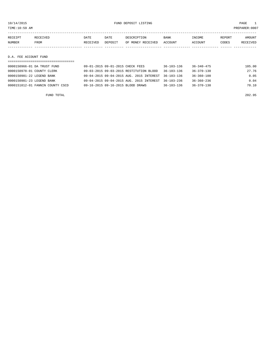${\rm FUND\ DEPOSIT\ LISTING} \qquad \qquad {\rm PAGE} \qquad \qquad {\rm 10/14/2015} \qquad \qquad {\rm PAGE} \qquad \qquad {\rm 10/14/2015} \qquad \qquad {\rm 10/14/2015} \qquad \qquad {\rm 10/14/2015} \qquad \qquad {\rm 10/14/2015} \qquad \qquad {\rm 10/14/2015} \qquad \qquad {\rm 10/14/2015} \qquad \qquad {\rm 10/14/2015} \qquad \qquad {\rm 10/14/2015} \qquad \qquad$ 

| $TIME$ .<br>AM | 0007:،<br><b>PREPARE</b> |
|----------------|--------------------------|
| --             |                          |

| RECEIPT | <b>RECEIVED</b> | DATE     | DATE    | DESCRIPTION       | <b>BANK</b> | INCOME  | REPORT | AMOUNT   |
|---------|-----------------|----------|---------|-------------------|-------------|---------|--------|----------|
| NUMBER  | FROM            | RECEIVED | DEPOSIT | OF MONEY RECEIVED | ACCOUNT     | ACCOUNT | CODES  | RECEIVED |
|         |                 |          |         |                   |             |         |        |          |
|         |                 |          |         |                   |             |         |        |          |

## D.A. FEE ACCOUNT FUND

| 0000150966-01 DA TRUST FUND      | 09-01-2015 09-01-2015 CHECK FEES                    | $36 - 103 - 136$ | 36-340-475       | 105.00 |
|----------------------------------|-----------------------------------------------------|------------------|------------------|--------|
| 0000150978-01 COUNTY CLERK       | 09-03-2015 09-03-2015 RESTITUTION BLOOD             | $36 - 103 - 136$ | $36 - 370 - 130$ | 27.76  |
| 0000150981-22 LEGEND BANK        | 09-04-2015 09-04-2015 AUG. 2015 INTEREST 36-103-136 |                  | $36 - 360 - 100$ | 0.05   |
| 0000150981-23 LEGEND BANK        | 09-04-2015 09-04-2015 AUG. 2015 INTEREST 36-103-236 |                  | $36 - 360 - 236$ | 0.04   |
| 0000151012-01 FANNIN COUNTY CSCD | 09-16-2015 09-16-2015 BLOOD DRAWS                   | $36 - 103 - 136$ | $36 - 370 - 130$ | 70.10  |
|                                  |                                                     |                  |                  |        |

FUND TOTAL 202.95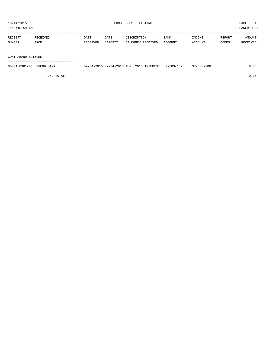| TIME:10:59 AM     |                  |                         |                 |                                  |                        |                   |                 | PREPARER: 0007     |
|-------------------|------------------|-------------------------|-----------------|----------------------------------|------------------------|-------------------|-----------------|--------------------|
| RECEIPT<br>NUMBER | RECEIVED<br>FROM | <b>DATE</b><br>RECEIVED | DATE<br>DEPOSIT | DESCRIPTION<br>OF MONEY RECEIVED | <b>BANK</b><br>ACCOUNT | INCOME<br>ACCOUNT | REPORT<br>CODES | AMOUNT<br>RECEIVED |
|                   |                  |                         |                 |                                  |                        |                   |                 |                    |

CONTRABAND SEIZURE

===================================

| 0000150981-24 LEGEND BANK | 09-04-2015 09-04-2015 AUG. 2015 INTEREST 37-103-137 |  | $37 - 360 - 100$ | 0.05 |
|---------------------------|-----------------------------------------------------|--|------------------|------|
|                           |                                                     |  |                  |      |

FUND TOTAL 0.05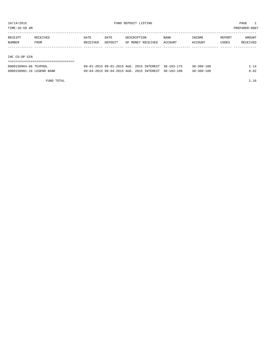TIME:10:59 AM PREPARER:0007

| RECEIPT       | RECEIVED | DATE     | DATE    | DESCRIPTION       | <b>BANK</b> | INCOME  | REPORT | AMOUNT   |
|---------------|----------|----------|---------|-------------------|-------------|---------|--------|----------|
| NUMBER        | FROM     | RECEIVED | DEPOSIT | OF MONEY RECEIVED | ACCOUNT     | ACCOUNT | CODES  | RECEIVED |
|               |          |          |         |                   |             |         |        |          |
|               |          |          |         |                   |             |         |        |          |
| IHC CO-OP GIN |          |          |         |                   |             |         |        |          |

IHC CO-OP GIN

| -------------------------------------<br>------------------------------------ |                                        |               |            |                  |                                 |
|-------------------------------------------------------------------------------|----------------------------------------|---------------|------------|------------------|---------------------------------|
| 0000150964-06 TEXPOOL                                                         | $09 - 01 - 2015$ $09 - 01 - 2015$ AUG. | 2015 INTEREST | 38-103-175 | $38 - 360 - 100$ | the contract of the contract of |

0000150981-16 LEGEND BANK 09-04-2015 09-04-2015 AUG. 2015 INTEREST 38-103-100 38-360-100 0.02

FUND TOTAL  $1.16$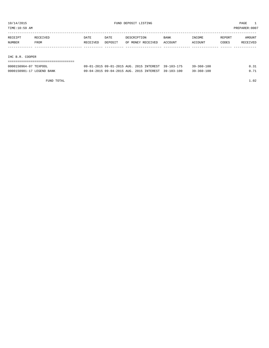TIME:10:59 AM PREPARER:0007

| RECEIPT       | RECEIVED        | DATE     | DATE    | DESCRIPTION       | <b>BANK</b> | INCOME  | REPORT | AMOUNT   |  |
|---------------|-----------------|----------|---------|-------------------|-------------|---------|--------|----------|--|
| <b>NUMBER</b> | FROM            | RECEIVED | DEPOSIT | OF MONEY RECEIVED | ACCOUNT     | ACCOUNT | CODES  | RECEIVED |  |
|               |                 |          |         |                   |             |         |        |          |  |
|               |                 |          |         |                   |             |         |        |          |  |
|               | IHC B.R. COOPER |          |         |                   |             |         |        |          |  |

## ===================================

| 0000150964-07 TEXPOOL     | 09-01-2015 09-01-2015 AUG. 2015 INTEREST 39-103-175 |  | $39 - 360 - 100$ | 0.31 |
|---------------------------|-----------------------------------------------------|--|------------------|------|
| 0000150981-17 LEGEND BANK | 09-04-2015 09-04-2015 AUG. 2015 INTEREST 39-103-100 |  | $39 - 360 - 100$ | ∩ 71 |

FUND TOTAL 1.02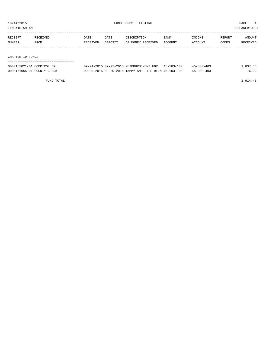TIME:10:59 AM PREPARER:0007

| RECEIPT | RECEIVED | DATE     | DATE    | DESCRIPTION       | <b>BANK</b> | INCOME  | REPORT | AMOUNT   |
|---------|----------|----------|---------|-------------------|-------------|---------|--------|----------|
| NUMBER  | FROM     | RECEIVED | DEPOSIT | OF MONEY RECEIVED | ACCOUNT     | ACCOUNT | CODES  | RECEIVED |
|         |          |          |         |                   |             |         |        |          |
|         |          |          |         |                   |             |         |        |          |

#### CHAPTER 19 FUNDS

| ---------------------------------<br>------------------------------- |                                                      |            |          |
|----------------------------------------------------------------------|------------------------------------------------------|------------|----------|
| 0000151021-01 COMPTROLLER                                            | 09-21-2015 09-21-2015 REIMBURSEMENT FOR 45-103-100   | 45-330-403 | 1,837.56 |
| 0000151055-01 COUNTY CLERK                                           | 09-30-2015 09-30-2015 TAMMY AND JILL REIM 45-103-100 | 45-330-403 | 76.92    |

FUND TOTAL 1,914.48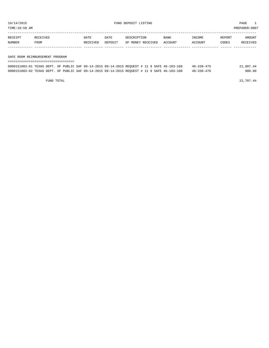TIME:10:59 AM PREPARER:0007

| RECEIPT | <b>RECEIVED</b> | DATE     | <b>DATE</b> | DESCRIPTION       | <b>BANK</b> | <b>INCOME</b>  | REPORT | AMOUNT          |
|---------|-----------------|----------|-------------|-------------------|-------------|----------------|--------|-----------------|
| NUMBER  | <b>FROM</b>     | RECEIVED | DEPOSIT     | OF MONEY RECEIVED | ACCOUNT     | <b>ACCOUNT</b> | CODES  | <b>RECEIVED</b> |
|         |                 |          |             |                   |             |                |        |                 |

#### SAFE ROOM REIMBURSEMENT PROGRAM

| =================================                                                            |  |  |  |  |  |                  |           |
|----------------------------------------------------------------------------------------------|--|--|--|--|--|------------------|-----------|
| 0000151003-01 TEXAS DEPT. OF PUBLIC SAF 09-14-2015 09-14-2015 REOUEST # 11 9 SAFE 46-103-100 |  |  |  |  |  | $46 - 330 - 475$ | 21,807.44 |
| 0000151003-02 TEXAS DEPT. OF PUBLIC SAF 09-14-2015 09-14-2015 REQUEST # 11 9 SAFE 46-103-100 |  |  |  |  |  | $46 - 330 - 476$ | 900.00    |

FUND TOTAL 22,707.44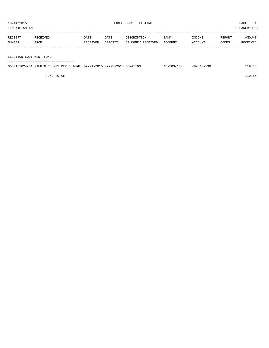| RECEIPT                 | RECEIVED | DATE     | DATE    | DESCRIPTION       | <b>BANK</b> | INCOME  | REPORT | AMOUNT   |
|-------------------------|----------|----------|---------|-------------------|-------------|---------|--------|----------|
| NUMBER                  | FROM     | RECEIVED | DEPOSIT | OF MONEY RECEIVED | ACCOUNT     | ACCOUNT | CODES  | RECEIVED |
|                         |          |          |         |                   |             |         |        |          |
|                         |          |          |         |                   |             |         |        |          |
| ELECTION EQUIPMENT FUND |          |          |         |                   |             |         |        |          |
|                         |          |          |         |                   |             |         |        |          |

| 0000151024-01 FANNIN COUNTY REPUBLICAN 09-21-2015 09-21-2015 DONATION | $48 - 103 - 100$ | $48 - 340 - 130$ | 119.65 |
|-----------------------------------------------------------------------|------------------|------------------|--------|
|                                                                       |                  |                  |        |

FUND TOTAL 119.65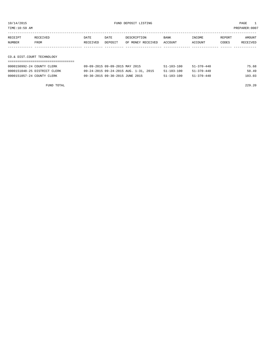TIME:10:59 AM PREPARER:0007

| RECEIPT                    | RECEIVED | DATE     | DATE    | DESCRIPTION       | BANK    | INCOME  | REPORT | AMOUNT   |
|----------------------------|----------|----------|---------|-------------------|---------|---------|--------|----------|
| NUMBER                     | FROM     | RECEIVED | DEPOSIT | OF MONEY RECEIVED | ACCOUNT | ACCOUNT | CODES  | RECEIVED |
|                            |          |          |         |                   |         |         |        |          |
|                            |          |          |         |                   |         |         |        |          |
| CO.& DIST.COURT TECHNOLOGY |          |          |         |                   |         |         |        |          |

## ===================================

| 0000150992-24 COUNTY CLERK   | 09-09-2015 09-09-2015 MAY 2015        | $51 - 103 - 100$ | $51 - 370 - 440$ | 75.68  |
|------------------------------|---------------------------------------|------------------|------------------|--------|
| 0000151048-25 DISTRICT CLERK | 09-24-2015 09-24-2015 AUG. 1-31, 2015 | $51 - 103 - 100$ | $51 - 370 - 440$ | 50.49  |
| 0000151057-24 COUNTY CLERK   | 09-30-2015 09-30-2015 JUNE 2015       | $51 - 103 - 100$ | 51-370-440       | 103.03 |

FUND TOTAL 229.20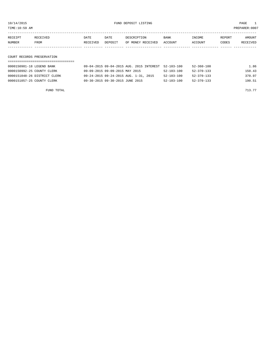TIME:10:59 AM PREPARER:0007

| RECEIPT | RECEIVED | DATE     | DATE    | DESCRIPTION               | <b>BANK</b> | INCOME  | REPORT | AMOUNT          |
|---------|----------|----------|---------|---------------------------|-------------|---------|--------|-----------------|
| NUMBER  | FROM     | RECEIVED | DEPOSIT | OF MONEY RECEIVED ACCOUNT |             | ACCOUNT | CODES  | <b>RECEIVED</b> |
|         |          |          |         |                           |             |         |        |                 |

## COURT RECORDS PRESERVATION

| 0000150981-18 LEGEND BANK    | 09-04-2015 09-04-2015 AUG. 2015 INTEREST | $52 - 103 - 100$ | 52-360-100       | 1.86   |
|------------------------------|------------------------------------------|------------------|------------------|--------|
| 0000150992-25 COUNTY CLERK   | 09-09-2015 09-09-2015 MAY 2015           | $52 - 103 - 100$ | $52 - 370 - 133$ | 150.43 |
| 0000151048-26 DISTRICT CLERK | 09-24-2015 09-24-2015 AUG. 1-31, 2015    | $52 - 103 - 100$ | $52 - 370 - 133$ | 370.97 |
| 0000151057-25 COUNTY CLERK   | 09-30-2015 09-30-2015 JUNE 2015          | $52 - 103 - 100$ | $52 - 370 - 133$ | 190.51 |

FUND TOTAL  $713.77$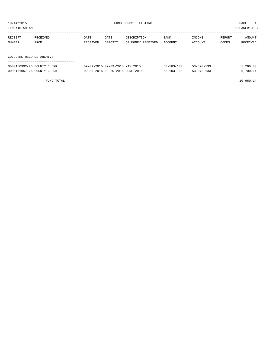| TIME:10:59 AM<br>PREPARER: 0007 |                          |          |         |                   |         |         |        |          |  |
|---------------------------------|--------------------------|----------|---------|-------------------|---------|---------|--------|----------|--|
|                                 |                          |          |         |                   |         |         |        |          |  |
| RECEIPT                         | RECEIVED                 | DATE     | DATE    | DESCRIPTION       | BANK    | INCOME  | REPORT | AMOUNT   |  |
| NUMBER                          | FROM                     | RECEIVED | DEPOSIT | OF MONEY RECEIVED | ACCOUNT | ACCOUNT | CODES  | RECEIVED |  |
|                                 |                          |          |         |                   |         |         |        |          |  |
|                                 | CO.CLERK RECORDS ARCHIVE |          |         |                   |         |         |        |          |  |
|                                 |                          |          |         |                   |         |         |        |          |  |

| 0000150992-26 COUNTY CLERK | 09-09-2015 09-09-2015 MAY 2015  | $53 - 103 - 100$ | 53-370-133 | 5.260.00 |
|----------------------------|---------------------------------|------------------|------------|----------|
| 0000151057-26 COUNTY CLERK | 09-30-2015 09-30-2015 JUNE 2015 | $53 - 103 - 100$ | 53-370-133 | 5,700.14 |

FUND TOTAL  $10,960.14$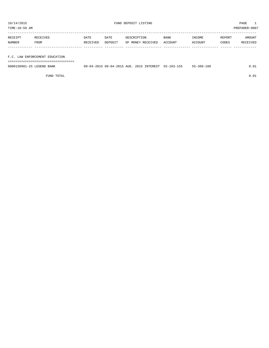TIME:10:59 AM PREPARER:0007

| RECEIPT | RECEIVED | DATE     | DATE    | DESCRIPTION       | BANK    | INCOME  | REPORT | AMOUNT   |
|---------|----------|----------|---------|-------------------|---------|---------|--------|----------|
| NUMBER  | FROM     | RECEIVED | DEPOSIT | OF MONEY RECEIVED | ACCOUNT | ACCOUNT | CODES  | RECEIVED |
|         |          |          |         |                   |         |         |        |          |

### F.C. LAW ENFORCEMENT EDUCATION

===================================

| 0000150981-25 LEGEND BANK | 09-04-2015 09-04-2015 AUG. 2015 INTEREST 55-103-155 |  | 55-360-100 | 0.01 |
|---------------------------|-----------------------------------------------------|--|------------|------|
|                           |                                                     |  |            |      |

FUND TOTAL  $0.01$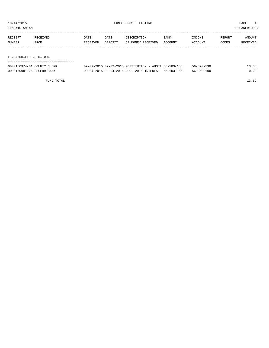TIME:10:59 AM PREPARER:0007

| RECEIPT | RECEIVED | DATE     | DATE    | DE SCRIPTION      | <b>BANK</b> | NCOME <sup>-</sup> | REPORT | AMOUNT   |
|---------|----------|----------|---------|-------------------|-------------|--------------------|--------|----------|
| NUMBER  | FROM     | RECEIVED | DEPOSIT | OF MONEY RECEIVED | ACCOUNT     | ACCOUNT            | CODES  | RECEIVED |
|         |          |          |         |                   |             |                    |        |          |

#### F C SHERIFF FORFEITURE

| 0000150974-01 COUNTY CLERK | 09-02-2015 09-02-2015 RESTITUTION - AUSTI 56-103-156 | 13.36<br>56-370-130      |
|----------------------------|------------------------------------------------------|--------------------------|
| 0000150981-26 LEGEND BANK  | 09-04-2015 09-04-2015 AUG. 2015 INTEREST 56-103-156  | 0.23<br>$56 - 360 - 100$ |

FUND TOTAL 13.59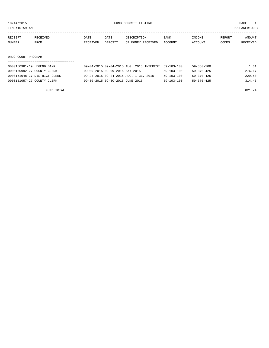TIME:10:59 AM PREPARER:0007

| RECEIPT | RECEIVED    | DATE     | DATE    | DESCRIPTION       | <b>BANK</b> | INCOME  | REPORT | AMOUNT   |
|---------|-------------|----------|---------|-------------------|-------------|---------|--------|----------|
| NUMBER  | <b>FROM</b> | RECEIVED | DEPOSIT | OF MONEY RECEIVED | ACCOUNT     | ACCOUNT | CODES  | RECEIVED |
|         |             |          |         |                   |             |         |        |          |
|         |             |          |         |                   |             |         |        |          |

#### DRUG COURT PROGRAM

| 0000150981-19 LEGEND BANK    | 09-04-2015 09-04-2015 AUG. 2015 INTEREST 59-103-100 |                  | $59 - 360 - 100$ | 1.61   |
|------------------------------|-----------------------------------------------------|------------------|------------------|--------|
| 0000150992-27 COUNTY CLERK   | 09-09-2015 09-09-2015 MAY 2015                      | $59 - 103 - 100$ | $59 - 370 - 425$ | 276.17 |
| 0000151048-27 DISTRICT CLERK | 09-24-2015 09-24-2015 AUG. 1-31, 2015               | $59 - 103 - 100$ | 59-370-425       | 229.50 |
| 0000151057-27 COUNTY CLERK   | 09-30-2015 09-30-2015 JUNE 2015                     | $59 - 103 - 100$ | 59-370-425       | 314.46 |

FUND TOTAL  $821.74$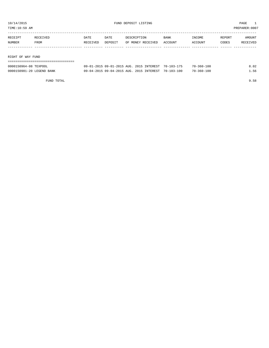TIME:10:59 AM PREPARER:0007

| RECEIPT           | RECEIVED | DATE     | DATE    | DESCRIPTION       | <b>BANK</b> | INCOME  | REPORT | AMOUNT   |
|-------------------|----------|----------|---------|-------------------|-------------|---------|--------|----------|
| NUMBER            | FROM     | RECEIVED | DEPOSIT | OF MONEY RECEIVED | ACCOUNT     | ACCOUNT | CODES  | RECEIVED |
|                   |          |          |         |                   |             |         |        |          |
|                   |          |          |         |                   |             |         |        |          |
| RIGHT OF WAY FUND |          |          |         |                   |             |         |        |          |

| ------------------------------------- |                                                     |  |                  |      |
|---------------------------------------|-----------------------------------------------------|--|------------------|------|
| 0000150964-08 TEXPOOL                 | 09-01-2015 09-01-2015 AUG. 2015 INTEREST 70-103-175 |  | 70-360-100       | 8.02 |
| 0000150981-20 LEGEND BANK             | 09-04-2015 09-04-2015 AUG. 2015 INTEREST 70-103-100 |  | $70 - 360 - 100$ | 1.56 |

FUND TOTAL 9.58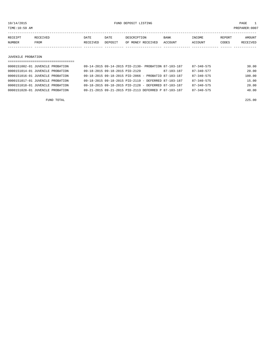10/14/2015 FUND DEPOSIT LISTING PAGE 1

| RECEIPT | <b>RECEIVED</b> | DATE     | DATE    | DESCRIPTION       | <b>BANK</b>    | "NCOME        | REPORT | AMOUNT   |
|---------|-----------------|----------|---------|-------------------|----------------|---------------|--------|----------|
| NUMBER  | FROM            | RECEIVED | DEPOSIT | OF MONEY RECEIVED | <b>ACCOUNT</b> | <b>CCOUNT</b> | CODES  | RECEIVED |
|         |                 |          |         |                   |                |               |        |          |

#### JUVENILE PROBATION

| ================================= |                                                      |            |                  |        |
|-----------------------------------|------------------------------------------------------|------------|------------------|--------|
| 0000151002-01 JUVENILE PROBATION  | 09-14-2015 09-14-2015 PID-2130- PROBATION 87-103-187 |            | $87 - 340 - 575$ | 30.00  |
| 0000151014-01 JUVENILE PROBATION  | 09-18-2015 09-18-2015 PID-2129                       | 87-103-187 | $87 - 340 - 577$ | 20.00  |
| 0000151016-01 JUVENILE PROBATION  | 09-18-2015 09-18-2015 PID-2066 - PROBATIO 87-103-187 |            | $87 - 340 - 575$ | 100.00 |
| 0000151017-01 JUVENILE PROBATION  | 09-18-2015 09-18-2015 PID-2119 - DEFERRED 87-103-187 |            | $87 - 340 - 575$ | 15.00  |
| 0000151018-01 JUVENILE PROBATION  | 09-18-2015 09-18-2015 PID-2128 - DEFERRED 87-103-187 |            | $87 - 340 - 575$ | 20.00  |
| 0000151028-01 JUVENILE PROBATION  | 09-21-2015 09-21-2015 PID-2113 DEFERRED P 87-103-187 |            | $87 - 340 - 575$ | 40.00  |
|                                   |                                                      |            |                  |        |

FUND TOTAL 225.00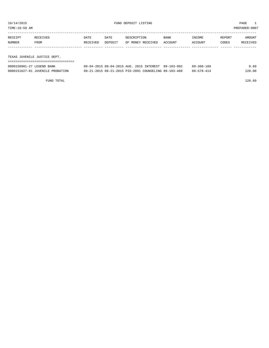TIME:10:59 AM PREPARER:0007

| RECEIPT | RECEIVED    | DATE     | DATE    | DESCRIPTION       | <b>BANK</b> | INCOME  | REPORT | AMOUNT   |
|---------|-------------|----------|---------|-------------------|-------------|---------|--------|----------|
| NUMBER  | <b>FROM</b> | RECEIVED | DEPOSIT | OF MONEY RECEIVED | ACCOUNT     | ACCOUNT | CODES  | RECEIVED |
|         |             |          |         |                   |             |         |        |          |
|         |             |          |         |                   |             |         |        |          |

TEXAS JUVENILE JUSTICE DEPT.

| ===========================      |                                                      |                      |
|----------------------------------|------------------------------------------------------|----------------------|
| 0000150981-27 LEGEND BANK        | 09-04-2015 09-04-2015 AUG. 2015 INTEREST 89-103-992  | 0.69<br>89-360-189   |
| 0000151027-01 JUVENILE PROBATION | 09-21-2015 09-21-2015 PID-2091 COUNSELING 89-103-489 | 120.00<br>89-578-414 |

FUND TOTAL 120.69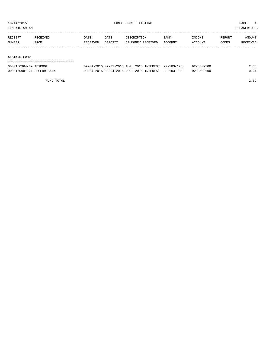TIME:10:59 AM PREPARER:0007

| RECEIPT | RECEIVED    | DATE     | DATE    | DESCRIPTION       | <b>BANK</b> | INCOME  | REPORT | AMOUNT   |
|---------|-------------|----------|---------|-------------------|-------------|---------|--------|----------|
| NUMBER  | <b>FROM</b> | RECEIVED | DEPOSIT | OF MONEY RECEIVED | ACCOUNT     | ACCOUNT | CODES  | RECEIVED |
|         |             |          |         |                   |             |         |        |          |
|         |             |          |         |                   |             |         |        |          |

#### STATZER FUND

| 0000150964-09 TEXPOOL     | 09-01-2015 09-01-2015 AUG. 2015 INTEREST 92-103-175 |  | $92 - 360 - 100$ | 2.38 |
|---------------------------|-----------------------------------------------------|--|------------------|------|
| 0000150981-21 LEGEND BANK | 09-04-2015 09-04-2015 AUG. 2015 INTEREST 92-103-100 |  | $92 - 360 - 100$ | 0.21 |

FUND TOTAL 2.59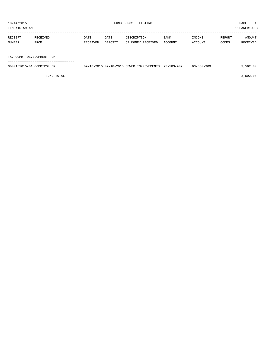| AΜ<br>. ME |              |      |      |                             |               |          |        | ∶∪∪⊍             |
|------------|--------------|------|------|-----------------------------|---------------|----------|--------|------------------|
|            |              |      |      |                             |               |          |        |                  |
| $\cdots$   | ------------ | $-1$ | $-1$ | $-77777777777$<br>$- - - -$ | $- - - - - -$ | $\cdots$ | ------ | <b>BEACHTREE</b> |

| RECEIPT                   | RECEIVED | DATE     | DATE    | DESCRIPTION       | <b>BANK</b> | INCOME  | REPORT | AMOUNT   |
|---------------------------|----------|----------|---------|-------------------|-------------|---------|--------|----------|
| NUMBER                    | FROM     | RECEIVED | DEPOSIT | OF MONEY RECEIVED | ACCOUNT     | ACCOUNT | CODES  | RECEIVED |
|                           |          |          |         |                   |             |         |        |          |
|                           |          |          |         |                   |             |         |        |          |
| TX. COMM. DEVELOPMENT PGM |          |          |         |                   |             |         |        |          |
|                           |          |          |         |                   |             |         |        |          |

| 0000151015-01 COMPTROLLER | 09-18-2015 09-18-2015 SEWER IMPROVEMENTS 93-103-909 |  | $93 - 330 - 909$ | 3,592.00 |
|---------------------------|-----------------------------------------------------|--|------------------|----------|
|                           |                                                     |  |                  |          |

FUND TOTAL 3,592.00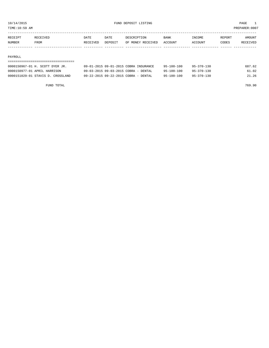TIME:10:59 AM PREPARER:0007

| RECEIPT | RECEIVED    | DATE     | DATE    | DESCRIPTION       | <b>BANK</b>    | <b>NCOME</b> | REPORT | AMOUNT          |
|---------|-------------|----------|---------|-------------------|----------------|--------------|--------|-----------------|
| NUMBER  | <b>FROM</b> | RECEIVED | DEPOSIT | OF MONEY RECEIVED | <b>ACCOUNT</b> | CCOUNT       | CODES  | <b>RECEIVED</b> |
|         |             |          |         |                   |                |              |        |                 |

#### PAYROLL

| 0000150967-01 H. SCOTT DYER JR.   | 09-01-2015 09-01-2015 COBRA INSURANCE | $95 - 100 - 100$ | $95 - 370 - 130$ | 687.62 |
|-----------------------------------|---------------------------------------|------------------|------------------|--------|
| 0000150977-01 APRIL HARRISON      | 09-03-2015 09-03-2015 COBRA - DENTAL  | $95 - 100 - 100$ | $95 - 370 - 130$ | 61.02  |
| 0000151029-01 STAVIS D. CROSSLAND | 09-22-2015 09-22-2015 COBRA - DENTAL  | 95-100-100       | $95 - 370 - 130$ | 21.26  |

FUND TOTAL 769.90